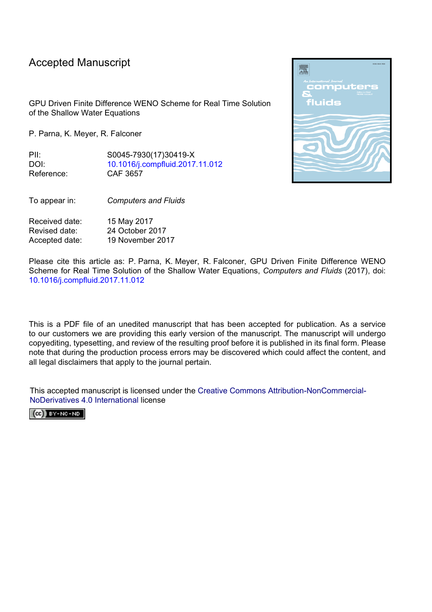# Accepted Manuscript

GPU Driven Finite Difference WENO Scheme for Real Time Solution of the Shallow Water Equations

P. Parna, K. Meyer, R. Falconer

PII: S0045-7930(17)30419-X DOI: [10.1016/j.compfluid.2017.11.012](https://doi.org/10.1016/j.compfluid.2017.11.012) Reference: CAF 3657

To appear in: *Computers and Fluids*

Received date: 15 May 2017 Revised date: 24 October 2017 Accepted date: 19 November 2017

Please cite this article as: P. Parna, K. Meyer, R. Falconer, GPU Driven Finite Difference WENO Scheme for Real Time Solution of the Shallow Water Equations, *Computers and Fluids* (2017), doi: [10.1016/j.compfluid.2017.11.012](https://doi.org/10.1016/j.compfluid.2017.11.012)

This is a PDF file of an unedited manuscript that has been accepted for publication. As a service to our customers we are providing this early version of the manuscript. The manuscript will undergo copyediting, typesetting, and review of the resulting proof before it is published in its final form. Please note that during the production process errors may be discovered which could affect the content, and all legal disclaimers that apply to the journal pertain.

This accepted manuscript is licensed under the [Creative Commons Attribution-NonCommercial-](http://creativecommons.org/licenses/by-nc-nd/4.0/)[NoDerivatives 4.0 International license](http://creativecommons.org/licenses/by-nc-nd/4.0/)

 $(Cc)$  BY-NC-ND

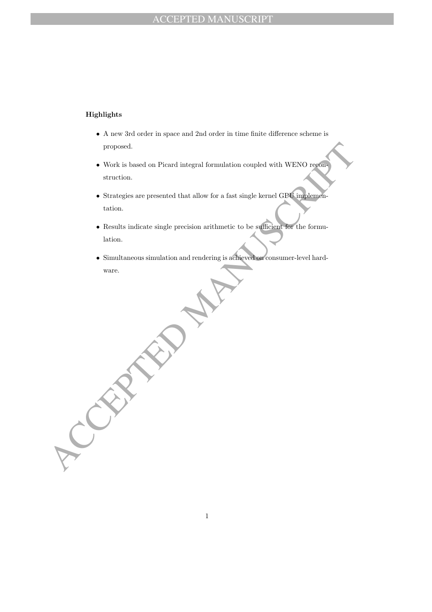## Highlights

- A new 3rd order in space and 2nd order in time finite difference scheme is proposed.
- Work is based on Picard integral formulation coupled with WENO reconstruction.
- proposed.<br>
 Work is based on Picard integral formulation coupled with WENO regional<br>
struction.<br>
 Strategies are presented that allow for a fast single kernel GPL implements<br>
tation.<br>
 Results indicate single precision • Strategies are presented that allow for a fast single kernel GPU implementation.
	- Results indicate single precision arithmetic to be sufficient for the formulation.
	- Simultaneous simulation and rendering is achieved on consumer-level hardware.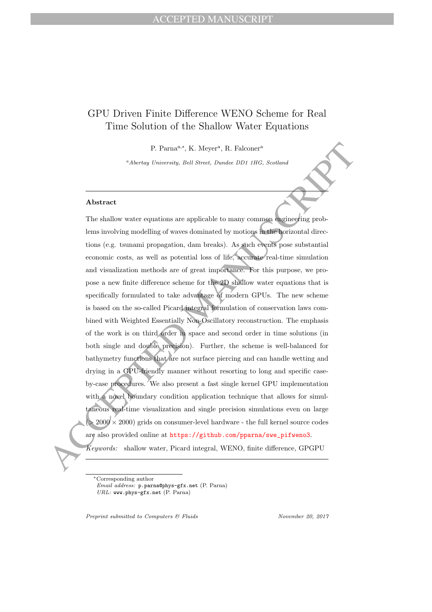# GPU Driven Finite Difference WENO Scheme for Real Time Solution of the Shallow Water Equations

P. Parna<sup>a,∗</sup>, K. Meyer<sup>a</sup>, R. Falconer<sup>a</sup>

<sup>a</sup>Abertay University, Bell Street, Dundee DD1 1HG, Scotland

## Abstract

P. Parna<sup>a, A</sup>, K. Moyer<sup>4</sup>, R. Falconer<sup>4</sup><br><sup>6</sup>Abertoy trainersity, field Street, Denote 1014 111G, Scotland<br><sup>6</sup>Abertoy trainersity, field Street, Denote 1014 11G, Scotland<br>**Abstract**<br>The shallow water equations are appli The shallow water equations are applicable to many common engineering problems involving modelling of waves dominated by motions in the horizontal directions (e.g. tsunami propagation, dam breaks). As such events pose substantial economic costs, as well as potential loss of life, accurate real-time simulation and visualization methods are of great importance. For this purpose, we propose a new finite difference scheme for the 2D shallow water equations that is specifically formulated to take advantage of modern GPUs. The new scheme is based on the so-called Picard integral formulation of conservation laws combined with Weighted Essentially Non-Oscillatory reconstruction. The emphasis of the work is on third order in space and second order in time solutions (in both single and double precision). Further, the scheme is well-balanced for bathymetry functions that are not surface piercing and can handle wetting and drying in a GPU-friendly manner without resorting to long and specific caseby-case procedures. We also present a fast single kernel GPU implementation with a novel boundary condition application technique that allows for simultaneous real-time visualization and single precision simulations even on large  $(> 2000 \times 2000)$  grids on consumer-level hardware - the full kernel source codes are also provided online at https://github.com/pparna/swe\_pifweno3.

Keywords: shallow water, Picard integral, WENO, finite difference, GPGPU

∗Corresponding author Email address: p.parna@phys-gfx.net (P. Parna) URL: www.phys-gfx.net (P. Parna)

Preprint submitted to Computers & Fluids November 20, 2017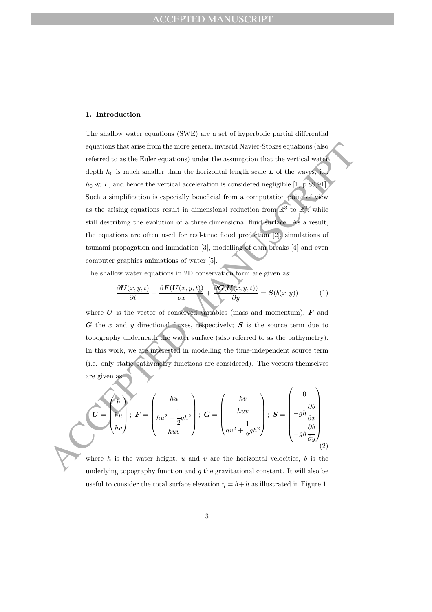#### 1. Introduction

equations that arise from the more general inviscial Navier-Stokes equations (also<br>referred to as the Euler equations) under the assumption that the vertical wave<br>depth  $h_0$  is small smaller than the horizontal length sc The shallow water equations (SWE) are a set of hyperbolic partial differential equations that arise from the more general inviscid Navier-Stokes equations (also referred to as the Euler equations) under the assumption that the vertical water depth  $h_0$  is much smaller than the horizontal length scale L of the waves, i.e.  $h_0 \ll L$ , and hence the vertical acceleration is considered negligible [1, p.89,91]. Such a simplification is especially beneficial from a computation point of view as the arising equations result in dimensional reduction from  $\mathbb{R}^3$  to  $\mathbb{R}^2$ , while still describing the evolution of a three dimensional fluid surface. As a result, the equations are often used for real-time flood prediction [2], simulations of tsunami propagation and inundation [3], modelling of dam breaks [4] and even computer graphics animations of water [5].

The shallow water equations in 2D conservation form are given as:

$$
\frac{\partial \mathbf{U}(x, y, t)}{\partial t} + \frac{\partial \mathbf{F}(\mathbf{U}(x, y, t))}{\partial x} + \frac{\partial \mathbf{G}(\mathbf{U}(x, y, t))}{\partial y} = \mathbf{S}(b(x, y))
$$
(1)

where  $U$  is the vector of conserved variables (mass and momentum),  $F$  and  $G$  the x and y directional fluxes, respectively;  $S$  is the source term due to topography underneath the water surface (also referred to as the bathymetry). In this work, we are interested in modelling the time-independent source term (i.e. only static bathymetry functions are considered). The vectors themselves are given as:

$$
\mathbf{U} = \begin{pmatrix} h \\ hu \\ hv \end{pmatrix}; \ \mathbf{F} = \begin{pmatrix} hu \\ hu^2 + \frac{1}{2}gh^2 \\ huv \end{pmatrix}; \ \mathbf{G} = \begin{pmatrix} hv \\ huv \\ hv^2 + \frac{1}{2}gh^2 \end{pmatrix}; \ \mathbf{S} = \begin{pmatrix} 0 \\ -gh\frac{\partial b}{\partial x} \\ -gh\frac{\partial b}{\partial y} \end{pmatrix}
$$

where  $h$  is the water height,  $u$  and  $v$  are the horizontal velocities,  $b$  is the underlying topography function and  $g$  the gravitational constant. It will also be useful to consider the total surface elevation  $\eta = b + h$  as illustrated in Figure 1.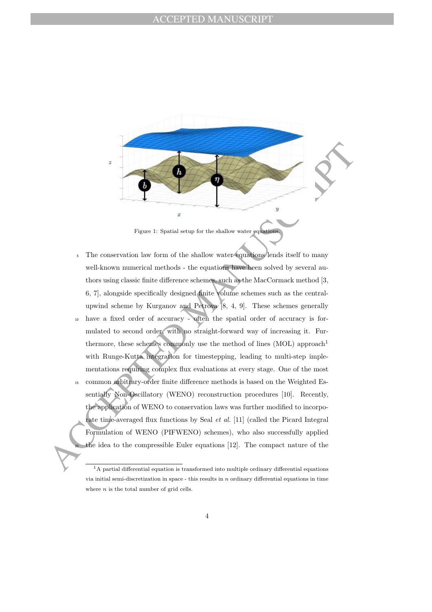

Figure 1: Spatial setup for the shallow water equations.

- Figure 1: Spatial setup for the shallow water good<br>manner is setup for the shallow water goodness. The conservation law form of the shallow water goodness<br>in the spatial setup for the shallow water goodness itself to many <sup>5</sup> The conservation law form of the shallow water equations lends itself to many well-known numerical methods - the equations have been solved by several authors using classic finite difference schemes, such as the MacCormack method [3, 6, 7], alongside specifically designed finite volume schemes such as the centralupwind scheme by Kurganov and Petrova [8, 4, 9]. These schemes generally <sup>10</sup> have a fixed order of accuracy - often the spatial order of accuracy is formulated to second order, with no straight-forward way of increasing it. Furthermore, these schemes commonly use the method of lines  $(MOL)$  approach<sup>1</sup> with Runge-Kutta integration for timestepping, leading to multi-step implementations requiring complex flux evaluations at every stage. One of the most <sup>15</sup> common arbitrary-order finite difference methods is based on the Weighted Essentially Non-Oscillatory (WENO) reconstruction procedures [10]. Recently, the application of WENO to conservation laws was further modified to incorporate time-averaged flux functions by Seal et al. [11] (called the Picard Integral
	- Formulation of WENO (PIFWENO) schemes), who also successfully applied the idea to the compressible Euler equations  $[12]$ . The compact nature of the

<sup>&</sup>lt;sup>1</sup>A partial differential equation is transformed into multiple ordinary differential equations via initial semi-discretization in space - this results in  $n$  ordinary differential equations in time where  $n$  is the total number of grid cells.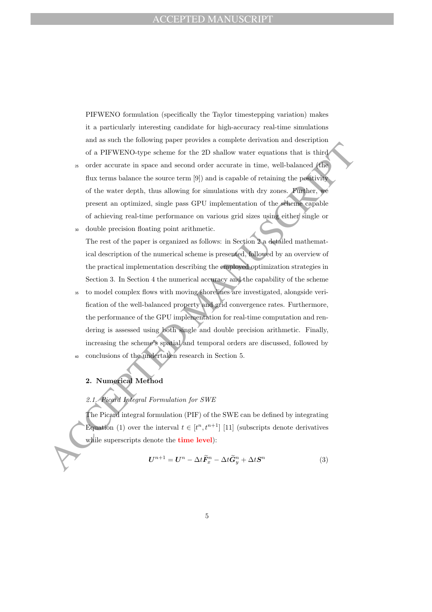PIFWENO formulation (specifically the Taylor timestepping variation) makes it a particularly interesting candidate for high-accuracy real-time simulations and as such the following paper provides a complete derivation and description of a PIFWENO-type scheme for the 2D shallow water equations that is third

- <sup>25</sup> order accurate in space and second order accurate in time, well-balanced (the flux terms balance the source term [9]) and is capable of retaining the positivity of the water depth, thus allowing for simulations with dry zones. Further, we present an optimized, single pass GPU implementation of the scheme capable of achieving real-time performance on various grid sizes using either single or
- <sup>30</sup> double precision floating point arithmetic. The rest of the paper is organized as follows: in Section 2 a detailed mathematical description of the numerical scheme is presented, followed by an overview of the practical implementation describing the employed optimization strategies in Section 3. In Section 4 the numerical accuracy and the capability of the scheme
- of a PIFWENO-type scheme for the 2D shallow water equations that is third a order accurate in space and second order accurate in time, well-balanced (fight stern what<br>have a courter denotes some for  $|9\rangle$  and is equalibl to model complex flows with moving shorelines are investigated, alongside verification of the well-balanced property and grid convergence rates. Furthermore, the performance of the GPU implementation for real-time computation and rendering is assessed using both single and double precision arithmetic. Finally, increasing the scheme's spatial and temporal orders are discussed, followed by conclusions of the undertaken research in Section 5.

2. Numerical Method

## 2.1. Picard Integral Formulation for SWE

The Picard integral formulation (PIF) of the SWE can be defined by integrating Equation (1) over the interval  $t \in [t^n, t^{n+1}]$  [11] (subscripts denote derivatives while superscripts denote the **time level**):

$$
U^{n+1} = U^n - \Delta t \tilde{F}_x^n - \Delta t \tilde{G}_y^n + \Delta t S^n \tag{3}
$$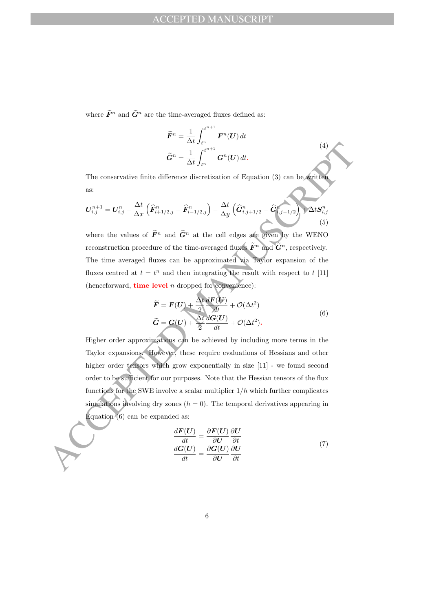where  $\widetilde{F}^n$  and  $\widetilde{G}^n$  are the time-averaged fluxes defined as:

$$
\widetilde{F}^n = \frac{1}{\Delta t} \int_{t^n}^{t^{n+1}} F^n(U) dt
$$
\n
$$
\widetilde{G}^n = \frac{1}{\Delta t} \int_{t^n}^{t^{n+1}} G^n(U) dt.
$$
\n(4)

The conservative finite difference discretization of Equation (3) can be written as:

$$
U_{i,j}^{n+1} = U_{i,j}^n - \frac{\Delta t}{\Delta x} \left( \widehat{F}_{i+1/2,j}^n - \widehat{F}_{i-1/2,j}^n \right) - \frac{\Delta t}{\Delta y} \left( \widehat{G}_{i,j+1/2}^n - \widehat{G}_{i,j-1/2}^n \right) + \Delta t S_{i,j}^n \tag{5}
$$

where the values of  $\widehat{F}^n$  and  $\widehat{G}^n$  at the cell edges are given by the WENO reconstruction procedure of the time-averaged fluxes  $\widetilde{F}^n$  and  $\widetilde{G}^n$ , respectively. The time averaged fluxes can be approximated via Taylor expansion of the fluxes centred at  $t = t^n$  and then integrating the result with respect to t [11] (henceforward, **time level**  $n$  dropped for convenience):

$$
\widetilde{F} = F(U) + \frac{\Delta t}{2} \frac{dF(U)}{dt} + \mathcal{O}(\Delta t^2)
$$
\n
$$
\widetilde{G} = G(U) + \frac{\Delta t}{2} \frac{dG(U)}{dt} + \mathcal{O}(\Delta t^2).
$$
\n(6)

 $\tilde{G}^n = \frac{1}{\Delta t} \int_C^{C+1} G^n(U) dt$ .<br>The conservative finite difference discretization of Equation (3) can be settled<br>as:<br>
as:<br>  $U_{i,j}^{n+1} = U_{i,j}^n - \frac{\Delta t}{\Delta x} \left( \tilde{F}_{i,j+1/2}^n - \tilde{F}_{i-1/2,j}^n \right) - \frac{\Delta t}{\Delta y} \left( \tilde{G}_{i,j+1/2}^$ Higher order approximations can be achieved by including more terms in the Taylor expansions. However, these require evaluations of Hessians and other higher order tensors which grow exponentially in size [11] - we found second order to be sufficient for our purposes. Note that the Hessian tensors of the flux functions for the SWE involve a scalar multiplier  $1/h$  which further complicates simulations involving dry zones  $(h = 0)$ . The temporal derivatives appearing in Equation (6) can be expanded as:

$$
\frac{d\boldsymbol{F}(U)}{dt} = \frac{\partial \boldsymbol{F}(U)}{\partial U} \frac{\partial U}{\partial t} \n\frac{d\boldsymbol{G}(U)}{dt} = \frac{\partial \boldsymbol{G}(U)}{\partial U} \frac{\partial U}{\partial t}
$$
\n(7)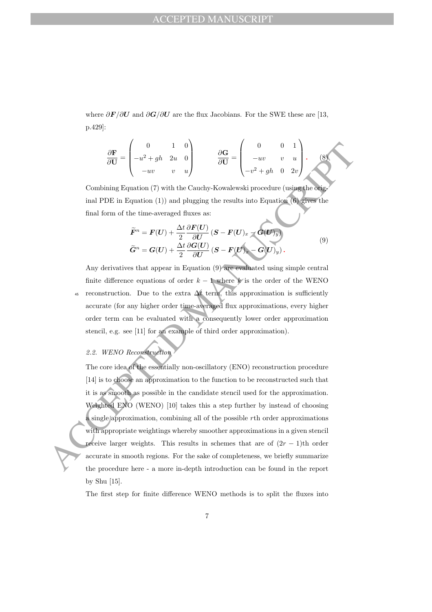where  $\partial F/\partial U$  and  $\partial G/\partial U$  are the flux Jacobians. For the SWE these are [13, p.429]:

$$
\frac{\partial \mathbf{F}}{\partial \mathbf{U}} = \begin{pmatrix} 0 & 1 & 0 \\ -u^2 + gh & 2u & 0 \\ -uv & v & u \end{pmatrix} \qquad \frac{\partial \mathbf{G}}{\partial \mathbf{U}} = \begin{pmatrix} 0 & 0 & 1 \\ -uv & v & u \\ -v^2 + gh & 0 & 2v \end{pmatrix} . \qquad (8)
$$

Combining Equation (7) with the Cauchy-Kowalewski procedure (using the original PDE in Equation (1)) and plugging the results into Equation (6) gives the final form of the time-averaged fluxes as:

$$
\widetilde{F}^{n} = F(U) + \frac{\Delta t}{2} \frac{\partial F(U)}{\partial U} (S - F(U)_{x} - G(U)_{y})
$$
\n
$$
\widetilde{G}^{n} = G(U) + \frac{\Delta t}{2} \frac{\partial G(U)}{\partial U} (S - F(U)_{x} - G(U)_{y}).
$$
\n(9)

Any derivatives that appear in Equation (9) are evaluated using simple central finite difference equations of order  $k - 1$  where  $k$  is the order of the WENO 45 reconstruction. Due to the extra  $\Delta t$  term, this approximation is sufficiently accurate (for any higher order time-averaged flux approximations, every higher order term can be evaluated with a consequently lower order approximation stencil, e.g. see [11] for an example of third order approximation).

2.2. WENO Reconstruction

 $\frac{\partial \mathbf{F}}{\partial \mathbf{U}} = \begin{pmatrix} 0 & 1 & 0 \\ 0 & 0 & 1 \\ -uv & v & v \\ -uv & v & v \end{pmatrix}, \qquad \frac{\partial \mathbf{G}}{\partial \mathbf{U}} = \begin{pmatrix} 0 & 0 & 1 \\ -uv & v & 1 \\ -v^2 + yh & 2v \end{pmatrix}.$  Combining Equation (7) with the Cauchy-Kowalevelski procedure (using the origin time final FDE The core idea of the essentially non-oscillatory (ENO) reconstruction procedure [14] is to choose an approximation to the function to be reconstructed such that it is as smooth as possible in the candidate stencil used for the approximation. Weighted ENO (WENO) [10] takes this a step further by instead of choosing a single approximation, combining all of the possible rth order approximations with appropriate weightings whereby smoother approximations in a given stencil receive larger weights. This results in schemes that are of  $(2r - 1)$ th order accurate in smooth regions. For the sake of completeness, we briefly summarize the procedure here - a more in-depth introduction can be found in the report by Shu [15].

The first step for finite difference WENO methods is to split the fluxes into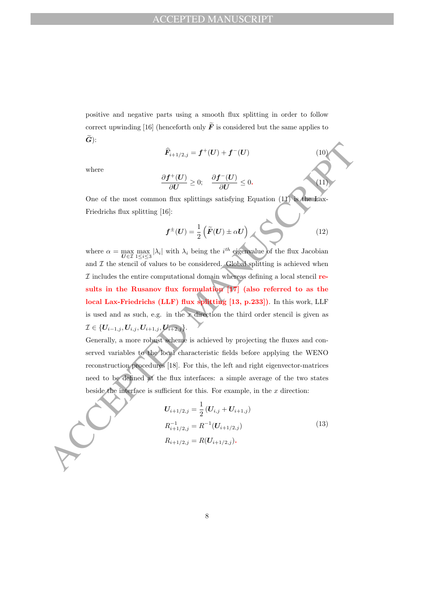positive and negative parts using a smooth flux splitting in order to follow correct upwinding [16] (henceforth only  $\tilde{F}$  is considered but the same applies to  $\widetilde{G}$ :

$$
\widehat{F}_{i+1/2,j} = f^+(U) + f^-(U) \tag{10}
$$

where

$$
\frac{\partial f^+(U)}{\partial U} \ge 0; \quad \frac{\partial f^-(U)}{\partial U} \le 0.
$$
\n(11)

One of the most common flux splittings satisfying Equation (11) is the Lax-Friedrichs flux splitting [16]:

$$
f^{\pm}(U) = \frac{1}{2} (\tilde{F}(U) \pm \alpha U) \tag{12}
$$

 $\hat{R}_{++/2,j} = f^+(U) + f^-(U)$ <br>
where<br>
where<br>  $\frac{\partial f^+(U)}{\partial U} \geq 0; \quad \frac{\partial f^-(U)}{\partial U} \leq 0.$ <br>
One of the most common flux splittings satisfying Equation (I) Consideration<br>
Friedrichs flux splitting [16]:<br>  $f^+(U) = \frac{1}{2} \left( \tilde{F}(U) +$ where  $\alpha = \max_{\mathbf{U} \in \mathcal{I}} \max_{1 \leq i \leq 3} |\lambda_i|$  with  $\lambda_i$  being the *i*<sup>th</sup> eigenvalue of the flux Jacobian and  $\mathcal I$  the stencil of values to be considered. Global splitting is achieved when  $I$  includes the entire computational domain whereas defining a local stencil results in the Rusanov flux formulation [17] (also referred to as the local Lax-Friedrichs (LLF) flux splitting [13, p.233]). In this work, LLF is used and as such, e.g. in the x direction the third order stencil is given as  $\mathcal{I} \in \{U_{i-1,j}, U_{i,j}, U_{i+1,j}, U_{i+2,j}\}.$ 

Generally, a more robust scheme is achieved by projecting the fluxes and conserved variables to the local characteristic fields before applying the WENO reconstruction procedures [18]. For this, the left and right eigenvector-matrices need to be defined at the flux interfaces: a simple average of the two states beside the interface is sufficient for this. For example, in the  $x$  direction:

$$
U_{i+1/2,j} = \frac{1}{2} (U_{i,j} + U_{i+1,j})
$$
  
\n
$$
R_{i+1/2,j}^{-1} = R^{-1} (U_{i+1/2,j})
$$
  
\n
$$
R_{i+1/2,j} = R(U_{i+1/2,j}).
$$
\n(13)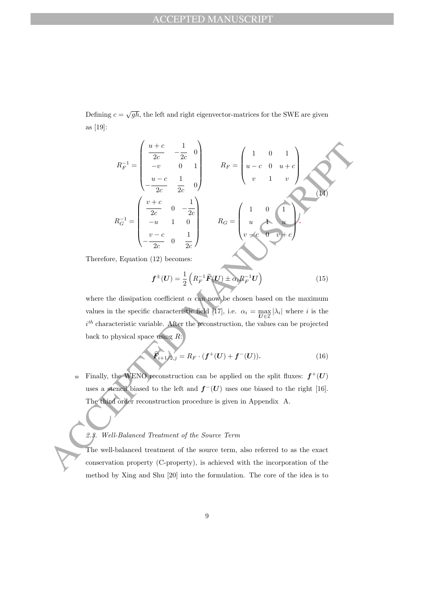Defining  $c = \sqrt{gh}$ , the left and right eigenvector-matrices for the SWE are given as [19]:

$$
R_F^{-1} = \begin{pmatrix} \frac{u+c}{2c} & -\frac{1}{2c} & 0 \\ -v & 0 & 1 \\ -\frac{u-c}{2c} & \frac{1}{2c} & 0 \end{pmatrix}
$$

$$
R_F = \begin{pmatrix} 1 & 0 & 1 \\ u-c & 0 & u+c \\ v & 1 & v \end{pmatrix}
$$

$$
R_G^{-1} = \begin{pmatrix} \frac{v+c}{2c} & 0 & -\frac{1}{2c} \\ -u & 1 & 0 \\ -\frac{v-c}{2c} & 0 & \frac{1}{2c} \end{pmatrix}
$$

$$
R_G = \begin{pmatrix} 1 & 0 & 1 \\ u & \frac{v-c}{2c} & 0 \\ v & \frac{v-c}{2c} & 0 \end{pmatrix}
$$
Therefore, Equation (12) becomes:
$$
f^{\pm}(U) = \frac{1}{2} \left( R_F^{-1} \tilde{F}(U) \pm \alpha_1 R_F^{-1} U \right)
$$
(15)  
where the dissipation coefficient  $\alpha$  can now be chosen based on the maximum values in the specific characteristic field [17], i.e.  $\alpha_i = \frac{\text{max}}{Uc} |\lambda_i|$  where *i* is the *i*<sup>th</sup> characteristic variable. After the reconstruction, the values can be projected back to physical space using *R*:\n
$$
\tilde{F}_{i+1}/2_{i,j} = R_F \cdot (f^{\pm}(U) + f^{\pm}(U)).
$$
(16)  
we Finally, the WENO reconstruction can be applied on the split fluxes:  $f^{\pm}(U)$  uses a **stend** biased to the left and  $f^{\pm}(U)$  uses one biased to the right [16].  
The third order reconstruction procedure is given in Appendix A.  
2.3. Well-Balanced Treatment of the Source term, also referred to as the exact conservation property (C-property), is achieved with the incorporation of the

Therefore, Equation (12) becomes:

$$
\boldsymbol{f}^{\pm}(\boldsymbol{U}) = \frac{1}{2} \left( R_F^{-1} \widetilde{\boldsymbol{F}}(\boldsymbol{U}) \pm \alpha_i R_F^{-1} \boldsymbol{U} \right) \tag{15}
$$

where the dissipation coefficient  $\alpha$  can now be chosen based on the maximum values in the specific characteristic field [17], i.e.  $\alpha_i = \max_{U \in \mathcal{I}} |\lambda_i|$  where i is the  $i<sup>th</sup>$  characteristic variable. After the reconstruction, the values can be projected back to physical space using  $R$ :

$$
\widehat{F}_{i+1/2,j} = R_F \cdot (f^+(U) + f^-(U)). \tag{16}
$$

 $_{50}$  Finally, the WENO reconstruction can be applied on the split fluxes:  $f^+(U)$ uses a stencil biased to the left and  $f^-(U)$  uses one biased to the right [16]. The third order reconstruction procedure is given in Appendix A.

#### 2.3. Well-Balanced Treatment of the Source Term

The well-balanced treatment of the source term, also referred to as the exact conservation property (C-property), is achieved with the incorporation of the method by Xing and Shu [20] into the formulation. The core of the idea is to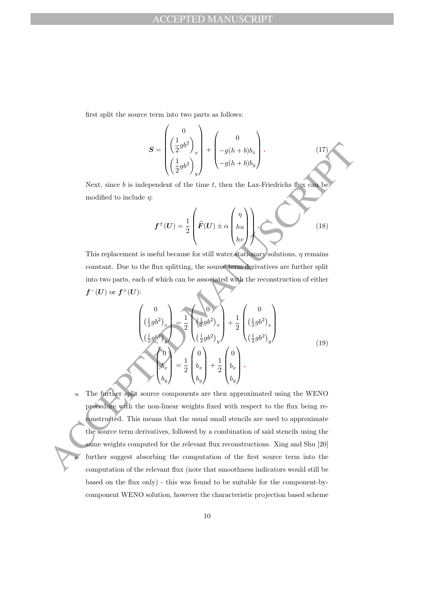first split the source term into two parts as follows:

$$
\mathbf{S} = \begin{pmatrix} 0 \\ \left(\frac{1}{2}gb^2\right)_x \\ \left(\frac{1}{2}gb^2\right)_y \end{pmatrix} + \begin{pmatrix} 0 \\ -g(h+b)b_x \\ -g(h+b)b_y \end{pmatrix} . \tag{17}
$$

Next, since  $b$  is independent of the time  $t$ , then the Lax-Friedrichs flux can be modified to include  $\eta$ :

$$
f^{\pm}(U) = \frac{1}{2} \left( \widetilde{F}(U) \pm \alpha \begin{pmatrix} \eta \\ hu \\ hv \end{pmatrix} \right) \tag{18}
$$

This replacement is useful because for still water stationary solutions,  $\eta$  remains constant. Due to the flux splitting, the source term derivatives are further split into two parts, each of which can be associated with the reconstruction of either  $f^-(U)$  or  $f^+(U)$ :

$$
\begin{pmatrix}\n0 \\
\left(\frac{1}{2}gb^2\right)_x \\
\left(\frac{1}{2}gb^2\right)_y\n\end{pmatrix} = \frac{1}{2} \begin{pmatrix}\n0 \\
\frac{1}{2}gb^2\right)_x \\
\left(\frac{1}{2}gb^2\right)_y\n\end{pmatrix} + \frac{1}{2} \begin{pmatrix}\n0 \\
\left(\frac{1}{2}gb^2\right)_x\n\end{pmatrix}
$$
\n
$$
\begin{pmatrix}\n0 \\
b_x \\
b_y\n\end{pmatrix} = \frac{1}{2} \begin{pmatrix}\n0 \\
b_x \\
b_y\n\end{pmatrix} + \frac{1}{2} \begin{pmatrix}\n0 \\
b_x \\
b_y\n\end{pmatrix}.
$$
\n(19)

 $\begin{split} S &= \begin{pmatrix} -\frac{1}{2}\theta^2 \end{pmatrix}_x + \begin{pmatrix} -\frac{1}{2}\theta(1+b)b_x \\ -\frac{1}{2}\theta(1+b)b_y \end{pmatrix} \cdot \begin{pmatrix} (17) \\ -\frac{1}{2}\theta(1+b)b_y \end{pmatrix} \cdot \begin{pmatrix} (17) \\ -\frac{1}{2}\theta(1+b)b_y \end{pmatrix} \cdot \begin{pmatrix} (18) \\ -\frac{1}{2}\theta(1+b)b_y \end{pmatrix} \cdot \begin{pmatrix} (19) \\ -\frac{1}{2}\theta(1+b)b_y \end{pmatrix} \cdot \begin{pmatrix} (18) \\ -\$ <sup>55</sup> The further split source components are then approximated using the WENO procedure with the non-linear weights fixed with respect to the flux being reconstructed. This means that the usual small stencils are used to approximate the source term derivatives, followed by a combination of said stencils using the same weights computed for the relevant flux reconstructions. Xing and Shu [20] further suggest absorbing the computation of the first source term into the computation of the relevant flux (note that smoothness indicators would still be based on the flux only) - this was found to be suitable for the component-bycomponent WENO solution, however the characteristic projection based scheme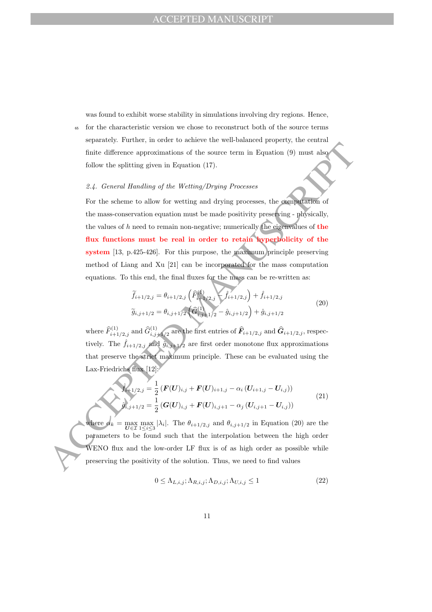was found to exhibit worse stability in simulations involving dry regions. Hence, <sup>65</sup> for the characteristic version we chose to reconstruct both of the source terms separately. Further, in order to achieve the well-balanced property, the central finite difference approximations of the source term in Equation (9) must also follow the splitting given in Equation (17).

## 2.4. General Handling of the Wetting/Drying Processes

inite difference approximations of the source term in Equation (9) must also<br>follow the splitting given in Equation (17).<br>
2.4. General Handling of the Wetting/Drying Processes<br>
For the scheme to allow for wetting and dry For the scheme to allow for wetting and drying processes, the computation of the mass-conservation equation must be made positivity preserving - physically, the values of  $h$  need to remain non-negative; numerically the eigenvalues of the flux functions must be real in order to retain hyperbolicity of the system [13, p.425-426]. For this purpose, the maximum principle preserving method of Liang and Xu [21] can be incorporated for the mass computation equations. To this end, the final fluxes for the mass can be re-written as:

$$
\widetilde{f}_{i+1/2,j} = \theta_{i+1/2,j} \left( \widehat{F}_{i+1/2,j}^{(1)} - \widehat{f}_{i+1/2,j} \right) + \widehat{f}_{i+1/2,j}
$$
\n
$$
\widetilde{g}_{i,j+1/2} = \theta_{i,j+1/2} \left( \widehat{G}_{i,j+1/2}^{(1)} - \widehat{g}_{i,j+1/2} \right) + \widehat{g}_{i,j+1/2}
$$
\n(20)

where  $\widehat{F}^{(1)}_{i+1/2,j}$  and  $\widehat{G}^{(1)}_{i,j+1/2}$  are the first entries of  $\widehat{F}_{i+1/2,j}$  and  $\widehat{G}_{i+1/2,j}$ , respectively. The  $\hat{f}_{i+1/2,j}$  and  $\hat{g}_{i,j+1/2}$  are first order monotone flux approximations that preserve the strict maximum principle. These can be evaluated using the Lax-Friedrichs flux [12]:

$$
\hat{f}_{i+1/2,j} = \frac{1}{2} \left( \mathbf{F}(\mathbf{U})_{i,j} + \mathbf{F}(\mathbf{U})_{i+1,j} - \alpha_i \left( \mathbf{U}_{i+1,j} - \mathbf{U}_{i,j} \right) \right)
$$
\n
$$
\hat{g}_{i,j+1/2} = \frac{1}{2} \left( \mathbf{G}(\mathbf{U})_{i,j} + \mathbf{F}(\mathbf{U})_{i,j+1} - \alpha_j \left( \mathbf{U}_{i,j+1} - \mathbf{U}_{i,j} \right) \right)
$$
\n(21)

where  $a_k = \max_{\mathbf{U} \in \mathcal{I}} \max_{1 \leq i \leq 3} |\lambda_i|$ . The  $\theta_{i+1/2,j}$  and  $\theta_{i,j+1/2}$  in Equation (20) are the parameters to be found such that the interpolation between the high order WENO flux and the low-order LF flux is of as high order as possible while preserving the positivity of the solution. Thus, we need to find values

$$
0 \leq \Lambda_{L,i,j}; \Lambda_{R,i,j}; \Lambda_{D,i,j}; \Lambda_{U,i,j} \leq 1
$$
\n(22)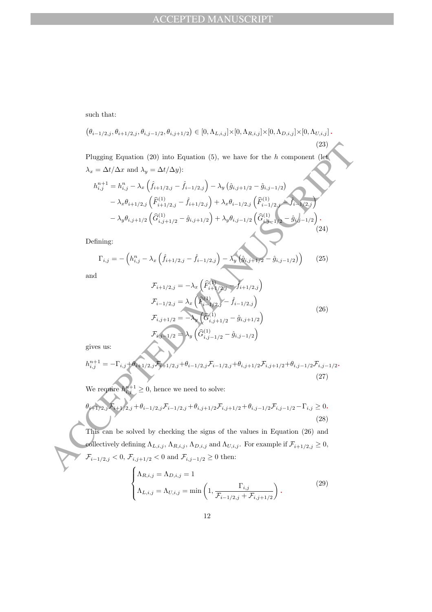such that:

$$
(\theta_{i-1/2,j}, \theta_{i+1/2,j}, \theta_{i,j-1/2}, \theta_{i,j+1/2}) \in [0, \Lambda_{L,i,j}] \times [0, \Lambda_{R,i,j}] \times [0, \Lambda_{D,i,j}] \times [0, \Lambda_{U,i,j}].
$$
\n(23)  
\nPlugging Equation (20) into Equation (5), we have for the *h* component (let  
\n
$$
\lambda_x = \Delta t / \Delta x
$$
 and  $\lambda_y = \Delta t / \Delta y$ ):  
\n
$$
h_{i,j}^{n+1} = h_{i,j}^n - \lambda_x \left( \hat{f}_{i+1/2,j} - \hat{f}_{i-1/2,j} \right) - \lambda_y \left( \hat{g}_{i,j+1/2} - \hat{g}_{i,j-1/2} \right)
$$
\n
$$
- \lambda_x \theta_{i+1/2,j} \left( \hat{F}_{i+1/2,j}^{(1)} - \hat{f}_{i+1/2,j} \right) + \lambda_x \theta_{i-1/2,j} \left( \hat{F}_{i-1/2,j}^{(1)} - \hat{f}_{i,2/2,j} \right)
$$
\n
$$
- \lambda_y \theta_{i,j+1/2} \left( \hat{G}_{i,j+1/2}^{(1)} - \hat{g}_{i,j+1/2} \right) + \lambda_y \theta_{i,j-1/2} \left( \hat{G}_{i,j-1/2}^{(1)} - \hat{g}_{i,j-1/2} \right).
$$
\n24)  
\nDefining:  
\n
$$
\Gamma_{i,j} = - \left( h_{i,j}^n - \lambda_x \left( \hat{f}_{i+1/2,j} - \hat{f}_{i-1/2,j} \right) - \lambda_y \left( \hat{g}_{i,j+1/2} - \hat{g}_{i,j-1/2} \right) \right)
$$
\n25)  
\nand  
\n
$$
\mathcal{F}_{i+1/2,j} = - \lambda_x \left( \hat{F}_{i+1/2,j}^{(1)} - \hat{f}_{i-1/2,j} \right)
$$
\n26)  
\nand  
\n
$$
\mathcal{F}_{i+1/2,j} = - \lambda_x \left( \hat{F}_{i+1/2,j}^{(1)} - \hat{f}_{i-1/2,j} \right)
$$
\n27)  
\ngives us:  
\n
$$
h_{i,j}^{n+
$$

$$
-\lambda_x \theta_{i+1/2,j} \left( F_{i+1/2,j} - j_{i+1/2,j} \right) + \lambda_x \theta_{i-1/2,j} \left( F_{i-1/2,j} - j_{i-1/2,j} \right)
$$
  

$$
-\lambda_y \theta_{i,j+1/2} \left( \widehat{G}_{i,j+1/2}^{(1)} - \widehat{g}_{i,j+1/2} \right) + \lambda_y \theta_{i,j-1/2} \left( \widehat{G}_{i,j-1/2}^{(1)} - \widehat{g}_{i,j-1/2} \right).
$$
  
(24)

Defining:

$$
\Gamma_{i,j} = -\left(h_{i,j}^n - \lambda_x \left(\hat{f}_{i+1/2,j} - \hat{f}_{i-1/2,j}\right) - \lambda_y \left(\hat{g}_{i,j+1/2} - \hat{g}_{i,j-1/2}\right)\right) \tag{25}
$$

and

$$
\mathcal{F}_{i+1/2,j} = -\lambda_x \left( \hat{F}_{i+1/2,j}^{(1)} - \hat{f}_{i+1/2,j} \right)
$$
\n
$$
\mathcal{F}_{i-1/2,j} = \lambda_x \left( \hat{F}_{i-1/2,j}^{(1)} - \hat{f}_{i-1/2,j} \right)
$$
\n
$$
\mathcal{F}_{i,j+1/2} = -\lambda_y \left( \hat{G}_{i,j+1/2}^{(1)} - \hat{g}_{i,j+1/2} \right)
$$
\n
$$
\mathcal{F}_{i,j-1/2} = \lambda_y \left( \hat{G}_{i,j-1/2}^{(1)} - \hat{g}_{i,j-1/2} \right)
$$
\n(26)

gives us:

$$
h_{i,j}^{n+1} = -\Gamma_{i,j} + \theta_{i+1/2,j} \mathcal{F}_{i+1/2,j} + \theta_{i-1/2,j} \mathcal{F}_{i-1/2,j} + \theta_{i,j+1/2} \mathcal{F}_{i,j+1/2} + \theta_{i,j-1/2} \mathcal{F}_{i,j-1/2}.
$$
\n(27)

We require  $h_{i,j}^{n+1} \geq 0$ , hence we need to solve:

$$
\theta_{i+1/2,j}\mathcal{F}_{i+1/2,j} + \theta_{i-1/2,j}\mathcal{F}_{i-1/2,j} + \theta_{i,j+1/2}\mathcal{F}_{i,j+1/2} + \theta_{i,j-1/2}\mathcal{F}_{i,j-1/2} - \Gamma_{i,j} \ge 0.
$$
\n(28)

This can be solved by checking the signs of the values in Equation (26) and collectively defining  $\Lambda_{L,i,j}$ ,  $\Lambda_{R,i,j}$ ,  $\Lambda_{D,i,j}$  and  $\Lambda_{U,i,j}$ . For example if  $\mathcal{F}_{i+1/2,j} \geq 0$ ,  $\mathcal{F}_{i-1/2,j} < 0, \mathcal{F}_{i,j+1/2} < 0$  and  $\mathcal{F}_{i,j-1/2} \ge 0$  then:

$$
\begin{cases} \Lambda_{R,i,j} = \Lambda_{D,i,j} = 1\\ \Lambda_{L,i,j} = \Lambda_{U,i,j} = \min\left(1, \frac{\Gamma_{i,j}}{\mathcal{F}_{i-1/2,j} + \mathcal{F}_{i,j+1/2}}\right). \end{cases}
$$
(29)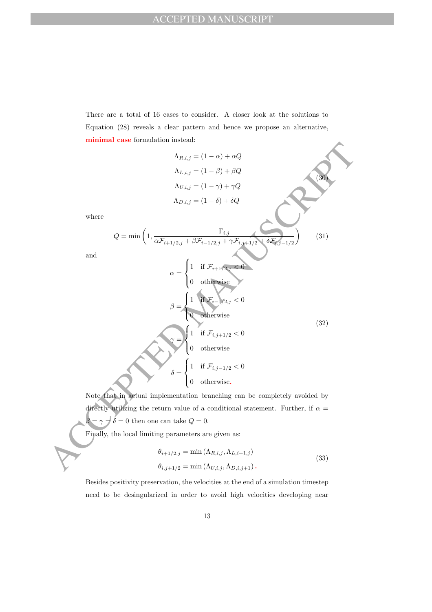There are a total of 16 cases to consider. A closer look at the solutions to Equation (28) reveals a clear pattern and hence we propose an alternative, minimal case formulation instead:

M, i, j = (1 - α) + αQ  
\n
$$
\Lambda_{L, i, j} = (1 - α) + αQ
$$
\n
$$
\Lambda_{L, i, j} = (1 - α) + γQ
$$
\n
$$
\Lambda_{D, i, j} = (1 - δ) + δQ
$$
\nwhere  
\n
$$
Q = \min \left( 1, \frac{\Gamma_{i, j}}{\alpha F_{i+1/2, j} + \beta F_{i-1/2, j} + \gamma F_{i, j+1/2}} \right)
$$
\nand  
\n
$$
\alpha = \begin{cases}\n1 & \text{if } F_{i+1/2, j} < 0 \\
0 & \text{otherwise}\n\end{cases}
$$
\n
$$
\beta = \begin{cases}\n1 & \text{if } F_{i, j-1/2, j} < 0 \\
0 & \text{otherwise}\n\end{cases}
$$
\n
$$
\beta = \begin{cases}\n1 & \text{if } F_{i, j-1/2} < 0 \\
0 & \text{otherwise}\n\end{cases}
$$
\n(32)  
\nNote that in actual implementation branching can be completely avoided by  
\ndirectly utilizing the return value of a conditional statement. Further, if  $\alpha = \beta = \gamma = \delta = 0$  then one can take  $Q = 0$ .  
\nFinally, the local limiting parameters are given as:  
\n
$$
\theta_{i+1/2, j} = \min (\Lambda_{R, i, j}, \Lambda_{L, i+1, j})
$$
\n
$$
\theta_{i, j+1/2} = \min (\Lambda_{R, i, j}, \Lambda_{L, i+1, j})
$$
\n(33)

Note that in actual implementation branching can be completely avoided by directly utilizing the return value of a conditional statement. Further, if  $\alpha =$  $\beta = \gamma \neq \delta = 0$  then one can take  $Q = 0$ .

Finally, the local limiting parameters are given as:

and

$$
\theta_{i+1/2,j} = \min(\Lambda_{R,i,j}, \Lambda_{L,i+1,j})
$$
  
\n
$$
\theta_{i,j+1/2} = \min(\Lambda_{U,i,j}, \Lambda_{D,i,j+1}).
$$
\n(33)

Besides positivity preservation, the velocities at the end of a simulation timestep need to be desingularized in order to avoid high velocities developing near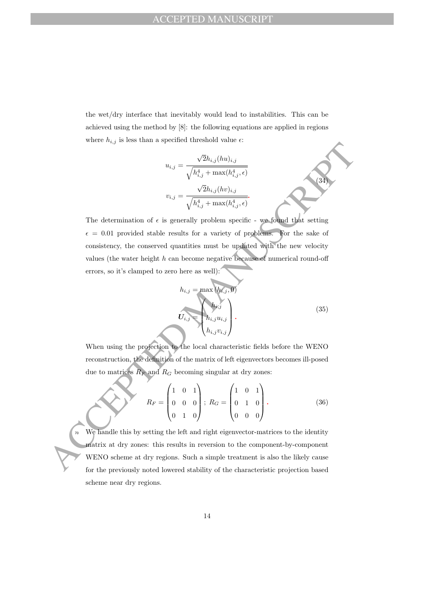the wet/dry interface that inevitably would lead to instabilities. This can be achieved using the method by [8]: the following equations are applied in regions where  $h_{i,j}$  is less than a specified threshold value  $\epsilon$ :

$$
u_{i,j} = \frac{\sqrt{2}h_{i,j}(hu)_{i,j}}{\sqrt{h_{i,j}^4 + \max(h_{i,j}^4, \epsilon)}}
$$

$$
v_{i,j} = \frac{\sqrt{2}h_{i,j}(hv)_{i,j}}{\sqrt{h_{i,j}^4 + \max(h_{i,j}^4, \epsilon)}}
$$

 $u_{i,j} = \frac{\sqrt{2}h_{i,j}(hw)_{i,j}}{\sqrt{h_{i,j}^2 + \max(h_{i,j}^2, \epsilon)}}$ <br>  $v_{i,j} = \frac{\sqrt{2}h_{i,j}(hw)_{i,j}}{\sqrt{h_{i,j}^2 + \max(h_{i,j}^2, \epsilon)}}$ <br>
The determination of c is generally problem specific - we found that setting<br>  $\epsilon = 0.01$  provided stable results for The determination of  $\epsilon$  is generally problem specific - we found that setting  $\epsilon = 0.01$  provided stable results for a variety of problems. For the sake of consistency, the conserved quantities must be updated with the new velocity values (the water height h can become negative because of numerical round-off errors, so it's clamped to zero here as well):

$$
h_{i,j} = \max(h_{i,j}, 0)
$$
  

$$
U_{i,j} = \begin{pmatrix} h_{i,j} \\ h_{i,j} u_{i,j} \\ h_{i,j} v_{i,j} \end{pmatrix}.
$$
 (35)

(34)

When using the projection to the local characteristic fields before the WENO reconstruction, the definition of the matrix of left eigenvectors becomes ill-posed due to matrices  $R_F$  and  $R_G$  becoming singular at dry zones:

$$
R_F = \begin{pmatrix} 1 & 0 & 1 \\ 0 & 0 & 0 \\ 0 & 1 & 0 \end{pmatrix}; R_G = \begin{pmatrix} 1 & 0 & 1 \\ 0 & 1 & 0 \\ 0 & 0 & 0 \end{pmatrix}.
$$
 (36)

<sup>70</sup> We handle this by setting the left and right eigenvector-matrices to the identity matrix at dry zones: this results in reversion to the component-by-component WENO scheme at dry regions. Such a simple treatment is also the likely cause for the previously noted lowered stability of the characteristic projection based scheme near dry regions.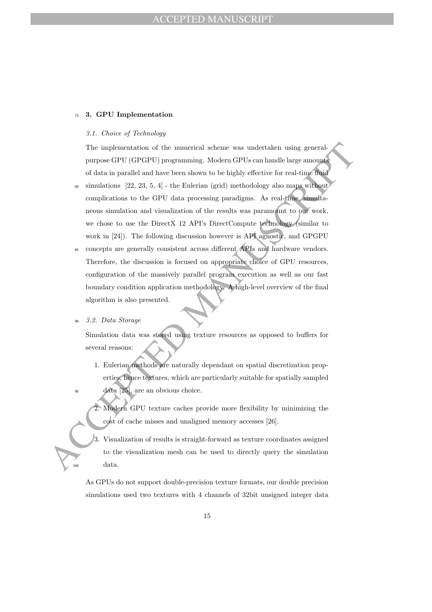### <sup>75</sup> 3. GPU Implementation

#### 3.1. Choice of Technology

The implementation of the numerical scheme was undertaken using generalpurpose GPU (GPGPU) programming. Modern GPUs can handle large amounts of data in parallel and have been shown to be highly effective for real-time fluid

- $\frac{1}{80}$  simulations [22, 23, 5, 4] the Eulerian (grid) methodology also maps without complications to the GPU data processing paradigms. As real-time, simultaneous simulation and visualization of the results was paramount to our work, we chose to use the DirectX 12 API's DirectCompute technology (similar to work in [24]). The following discussion however is API agnostic, and GPGPU
- The implementation of the numerical scheme was undertaken using general<br>purpose GPU (GPCPU) regramming. Molecura shown to be highly effective for real-time<br>fluid and pare been shown to be highly effective for real-time<br>fl <sup>85</sup> concepts are generally consistent across different APIs and hardware vendors. Therefore, the discussion is focused on appropriate choice of GPU resources, configuration of the massively parallel program execution as well as our fast boundary condition application methodology. A high-level overview of the final algorithm is also presented.

#### <sup>90</sup> 3.2. Data Storage

Simulation data was stored using texture resources as opposed to buffers for several reasons:

- 1. Eulerian methods are naturally dependant on spatial discretization properties, hence textures, which are particularly suitable for spatially sampled  $data$  [25], are an obvious choice.
- 2. Modern GPU texture caches provide more flexibility by minimizing the cost of cache misses and unaligned memory accesses [26].
- 3. Visualization of results is straight-forward as texture coordinates assigned to the visualization mesh can be used to directly query the simulation <sup>100</sup> data.

As GPUs do not support double-precision texture formats, our double precision simulations used two textures with 4 channels of 32bit unsigned integer data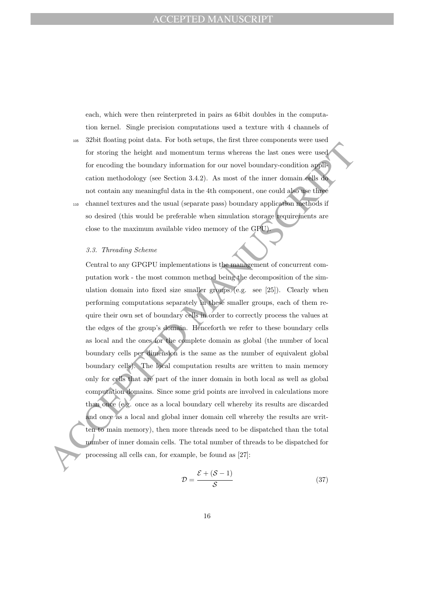each, which were then reinterpreted in pairs as 64bit doubles in the computation kernel. Single precision computations used a texture with 4 channels of

- <sup>105</sup> 32bit floating point data. For both setups, the first three components were used for storing the height and momentum terms whereas the last ones were used for encoding the boundary information for our novel boundary-condition application methodology (see Section 3.4.2). As most of the inner domain cells do not contain any meaningful data in the 4th component, one could also use three <sup>110</sup> channel textures and the usual (separate pass) boundary application methods if
- so desired (this would be preferable when simulation storage requirements are close to the maximum available video memory of the GPU).

#### 3.3. Threading Scheme

For storing the height and momentum terms whereas the last ones were used<br>For encoding the boundary information for our movel boundary-condition applies<br>to carrotm methodology (see Section 3.4.2). As most of the function<br> Central to any GPGPU implementations is the management of concurrent computation work - the most common method being the decomposition of the simulation domain into fixed size smaller groups (e.g. see [25]). Clearly when performing computations separately in these smaller groups, each of them require their own set of boundary cells in order to correctly process the values at the edges of the group's domain. Henceforth we refer to these boundary cells as local and the ones for the complete domain as global (the number of local boundary cells per dimension is the same as the number of equivalent global boundary cells). The local computation results are written to main memory only for cells that are part of the inner domain in both local as well as global computation domains. Since some grid points are involved in calculations more than once (e.g. once as a local boundary cell whereby its results are discarded and once as a local and global inner domain cell whereby the results are written to main memory), then more threads need to be dispatched than the total number of inner domain cells. The total number of threads to be dispatched for processing all cells can, for example, be found as [27]:

$$
\mathcal{D} = \frac{\mathcal{E} + (\mathcal{S} - 1)}{\mathcal{S}}
$$
 (37)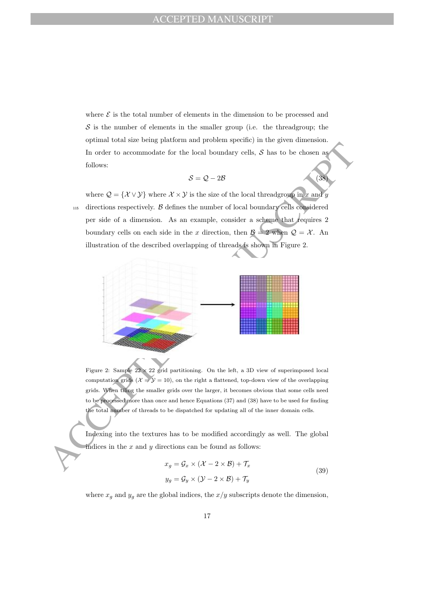where  $\mathcal E$  is the total number of elements in the dimension to be processed and  $S$  is the number of elements in the smaller group (i.e. the threadgroup; the optimal total size being platform and problem specific) in the given dimension. In order to accommodate for the local boundary cells,  $S$  has to be chosen as follows:

$$
S = Q - 2B \tag{38}
$$

where  $\mathcal{Q} = \{ \mathcal{X} \vee \mathcal{Y} \}$  where  $\mathcal{X} \times \mathcal{Y}$  is the size of the local threadgroup in x and y  $115$  directions respectively.  $\beta$  defines the number of local boundary cells considered per side of a dimension. As an example, consider a scheme that requires 2 boundary cells on each side in the x direction, then  $\mathcal{B} = 2$  when  $\mathcal{Q} = \mathcal{X}$ . An illustration of the described overlapping of threads is shown in Figure 2.



Figure 2: Sample  $22 \times 22$  grid partitioning. On the left, a 3D view of superimposed local computation grids  $(X = Y = 10)$ , on the right a flattened, top-down view of the overlapping grids. When tiling the smaller grids over the larger, it becomes obvious that some cells need to be processed more than once and hence Equations (37) and (38) have to be used for finding the total number of threads to be dispatched for updating all of the inner domain cells.

Indexing into the textures has to be modified accordingly as well. The global indices in the  $x$  and  $y$  directions can be found as follows:

$$
x_g = \mathcal{G}_x \times (\mathcal{X} - 2 \times \mathcal{B}) + \mathcal{T}_x
$$
  
\n
$$
y_g = \mathcal{G}_y \times (\mathcal{Y} - 2 \times \mathcal{B}) + \mathcal{T}_y
$$
\n(39)

where  $x_g$  and  $y_g$  are the global indices, the  $x/y$  subscripts denote the dimension,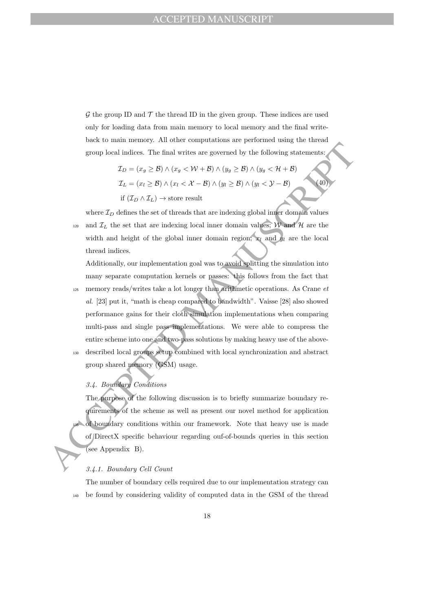${\mathcal G}$  the group ID and  ${\mathcal T}$  the thread ID in the given group. These indices are used only for loading data from main memory to local memory and the final writeback to main memory. All other computations are performed using the thread group local indices. The final writes are governed by the following statements:

$$
\mathcal{I}_D = (x_g \ge \mathcal{B}) \land (x_g < \mathcal{W} + \mathcal{B}) \land (y_g \ge \mathcal{B}) \land (y_g < \mathcal{H} + \mathcal{B})
$$
\n
$$
\mathcal{I}_L = (x_l \ge \mathcal{B}) \land (x_l < \mathcal{X} - \mathcal{B}) \land (y_l \ge \mathcal{B}) \land (y_l < \mathcal{Y} - \mathcal{B})
$$
\nif

\n
$$
(\mathcal{I}_D \land \mathcal{I}_L) \rightarrow \text{store result}
$$
\n(40)

where  $\mathcal{I}_D$  defines the set of threads that are indexing global inner domain values <sup>120</sup> and  $\mathcal{I}_L$  the set that are indexing local inner domain values; W and H are the width and height of the global inner domain region;  $x_l$  and  $y_l$  are the local thread indices.

group local indices. The final writes are governed by the following statements<br>  $T_D = (x_g \geq B) \land (x_g < W + B) \land (y_g \geq B) \land (y_g < B) \land (y_g < B)$ <br>  $\bar{x}_L = (x_l \geq B) \land (x_l < X - B) \land (y_l \geq B) \land (y_l < Y - B)$ <br>  $\text{if } (T_D \land T_L) \rightarrow \text{store result}$ <br>
where Additionally, our implementation goal was to avoid splitting the simulation into many separate computation kernels or passes: this follows from the fact that  $125$  memory reads/writes take a lot longer than arithmetic operations. As Crane  $et$ al. [23] put it, "math is cheap compared to bandwidth". Vaisse [28] also showed performance gains for their cloth simulation implementations when comparing multi-pass and single pass implementations. We were able to compress the entire scheme into one and two-pass solutions by making heavy use of the above-<sup>130</sup> described local groups setup combined with local synchronization and abstract group shared memory (GSM) usage.

## 3.4. Boundary Conditions

The purpose of the following discussion is to briefly summarize boundary requirements of the scheme as well as present our novel method for application of boundary conditions within our framework. Note that heavy use is made of DirectX specific behaviour regarding ouf-of-bounds queries in this section (see Appendix B).

#### 3.4.1. Boundary Cell Count

The number of boundary cells required due to our implementation strategy can <sup>140</sup> be found by considering validity of computed data in the GSM of the thread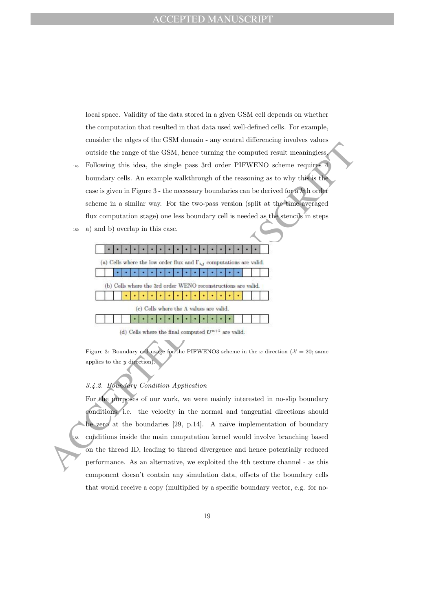local space. Validity of the data stored in a given GSM cell depends on whether the computation that resulted in that data used well-defined cells. For example, consider the edges of the GSM domain - any central differencing involves values outside the range of the GSM, hence turning the computed result meaningless.

- <sup>145</sup> Following this idea, the single pass 3rd order PIFWENO scheme requires 4 boundary cells. An example walkthrough of the reasoning as to why this is the case is given in Figure 3 - the necessary boundaries can be derived for a kth order scheme in a similar way. For the two-pass version (split at the time-averaged flux computation stage) one less boundary cell is needed as the stencils in steps
	-

<sup>150</sup> a) and b) overlap in this case.

Figure 3: Boundary cell usage for the PIFWENO3 scheme in the x direction ( $\mathcal{X} = 20$ ; same applies to the y direction).

## 3.4.2. Boundary Condition Application

outside the mage of the GSM, hence turning the computed result meaningless<br>
as Following this idea, the single pass 3rd order PIFWENO scheme requires<br>
boundary cells. An example walthrough of the reasoning as to will the For the purposes of our work, we were mainly interested in no-slip boundary conditions, i.e. the velocity in the normal and tangential directions should be zero at the boundaries [29, p.14]. A naïve implementation of boundary <sup>155</sup> conditions inside the main computation kernel would involve branching based on the thread ID, leading to thread divergence and hence potentially reduced performance. As an alternative, we exploited the 4th texture channel - as this component doesn't contain any simulation data, offsets of the boundary cells that would receive a copy (multiplied by a specific boundary vector, e.g. for no-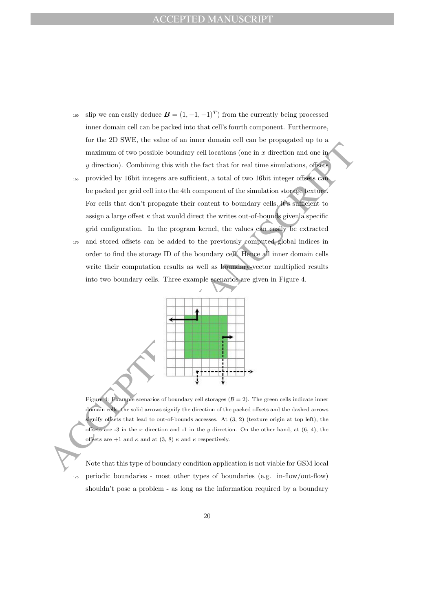- <sup>160</sup> slip we can easily deduce  $\mathbf{B} = (1, -1, -1)^T$  from the currently being processed inner domain cell can be packed into that cell's fourth component. Furthermore, for the 2D SWE, the value of an inner domain cell can be propagated up to a maximum of two possible boundary cell locations (one in  $x$  direction and one in  $y$  direction). Combining this with the fact that for real time simulations, offsets
- maximum of two possible boundary cell locations (one in *x* direction and one in<br>y direction). Combining this with the fact that for real time simulations, of<br>feed we provided by folicit integers are sufficient, a total o <sup>165</sup> provided by 16bit integers are sufficient, a total of two 16bit integer offsets can be packed per grid cell into the 4th component of the simulation storage texture. For cells that don't propagate their content to boundary cells, it's sufficient to assign a large offset  $\kappa$  that would direct the writes out-of-bounds given a specific grid configuration. In the program kernel, the values can easily be extracted <sup>170</sup> and stored offsets can be added to the previously computed global indices in
	- order to find the storage ID of the boundary cell. Hence all inner domain cells write their computation results as well as boundary-vector multiplied results into two boundary cells. Three example scenarios are given in Figure 4.



Figure 4: Example scenarios of boundary cell storages ( $\beta = 2$ ). The green cells indicate inner domain cells, the solid arrows signify the direction of the packed offsets and the dashed arrows signify offsets that lead to out-of-bounds accesses. At  $(3, 2)$  (texture origin at top left), the offsets are -3 in the  $x$  direction and -1 in the  $y$  direction. On the other hand, at  $(6, 4)$ , the offsets are +1 and  $\kappa$  and at (3, 8)  $\kappa$  and  $\kappa$  respectively.

Note that this type of boundary condition application is not viable for GSM local <sup>175</sup> periodic boundaries - most other types of boundaries (e.g. in-flow/out-flow) shouldn't pose a problem - as long as the information required by a boundary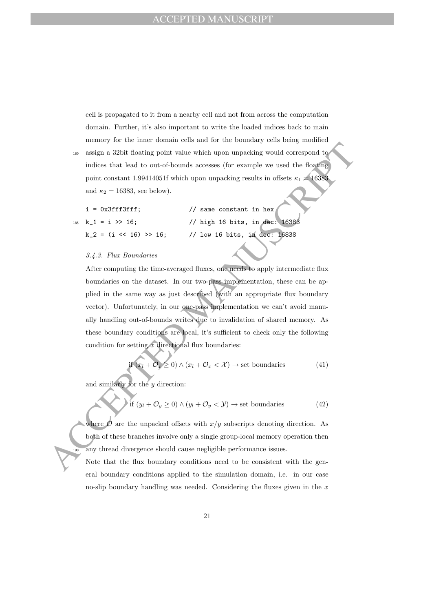cell is propagated to it from a nearby cell and not from across the computation domain. Further, it's also important to write the loaded indices back to main memory for the inner domain cells and for the boundary cells being modified

<sup>180</sup> assign a 32bit floating point value which upon unpacking would correspond to indices that lead to out-of-bounds accesses (for example we used the floating point constant 1.99414051f which upon unpacking results in offsets  $\kappa_1 = 16383$ and  $\kappa_2 = 16383$ , see below).

| $i = 0x3fff3fff;$              | // same constant in hex        |
|--------------------------------|--------------------------------|
| $185 \text{ k}_1 = i \gg 16$ ; | // high 16 bits, in dec: 16383 |
| $k_2 = (i \ll 16) >> 16$ ;     | // low 16 bits, in dec: 16838  |

#### 3.4.3. Flux Boundaries

assign a 32bit floating point value which upon unpacking would correspond to indices that lead to out-of-bounds accesses (for example we used the floating<br>point constant 1991414976 when upon unpacking results in offsets After computing the time-averaged fluxes, one needs to apply intermediate flux boundaries on the dataset. In our two-pass implementation, these can be applied in the same way as just described (with an appropriate flux boundary vector). Unfortunately, in our one-pass implementation we can't avoid manually handling out-of-bounds writes due to invalidation of shared memory. As these boundary conditions are local, it's sufficient to check only the following condition for setting  $x$  directional flux boundaries:

$$
\text{if } (x_l + \mathcal{O}_x \ge 0) \land (x_l + \mathcal{O}_x < \mathcal{X}) \to \text{set boundaries} \tag{41}
$$

and similarly for the  $y$  direction:

$$
\text{if } (y_l + \mathcal{O}_y \ge 0) \land (y_l + \mathcal{O}_y < \mathcal{Y}) \to \text{set boundaries} \tag{42}
$$

where  $\mathcal O$  are the unpacked offsets with  $x/y$  subscripts denoting direction. As both of these branches involve only a single group-local memory operation then any thread divergence should cause negligible performance issues.

Note that the flux boundary conditions need to be consistent with the general boundary conditions applied to the simulation domain, i.e. in our case no-slip boundary handling was needed. Considering the fluxes given in the  $x$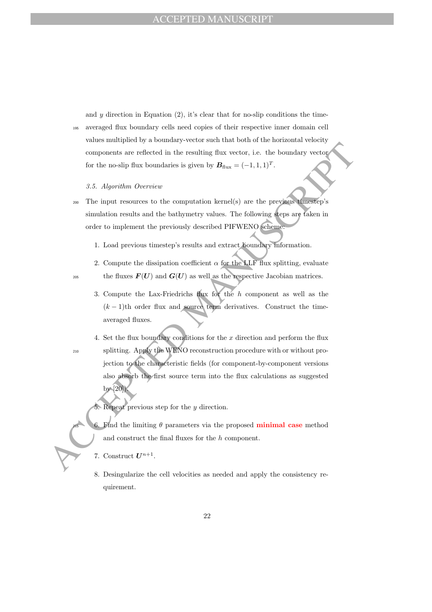and  $y$  direction in Equation (2), it's clear that for no-slip conditions the time-<sup>195</sup> averaged flux boundary cells need copies of their respective inner domain cell values multiplied by a boundary-vector such that both of the horizontal velocity components are reflected in the resulting flux vector, i.e. the boundary vector for the no-slip flux boundaries is given by  $B_{\text{flux}} = (-1, 1, 1)^T$ .

### 3.5. Algorithm Overview

- <sup>200</sup> The input resources to the computation kernel(s) are the previous timestep's simulation results and the bathymetry values. The following steps are taken in order to implement the previously described PIFWENO scheme:
	- 1. Load previous timestep's results and extract boundary information.
- 2. Compute the dissipation coefficient  $\alpha$  for the LLF flux splitting, evaluate <sup>205</sup> the fluxes  $F(U)$  and  $G(U)$  as well as the respective Jacobian matrices.
	- 3. Compute the Lax-Friedrichs flux for the h component as well as the  $(k-1)$ th order flux and source term derivatives. Construct the timeaveraged fluxes.
- components are relieved in the resulting flux vector, i.e. the boundary vector<br>for the no-slip llux boundaries is given by  $B_{\text{max}} = (-1, 1, 1)^T$ .<br>
3.5. Algorithm Overview<br>
2. The input resources to the computation lerned(a 4. Set the flux boundary conditions for the  $x$  direction and perform the flux <sup>210</sup> splitting. Apply the WENO reconstruction procedure with or without projection to the characteristic fields (for component-by-component versions also absorb the first source term into the flux calculations as suggested by [20]).

5. Repeat previous step for the  $y$  direction.

- E<sup>1</sup>nd the limiting  $\theta$  parameters via the proposed **minimal case** method and construct the final fluxes for the h component.
- 7. Construct  $U^{n+1}$ .
- 8. Desingularize the cell velocities as needed and apply the consistency requirement.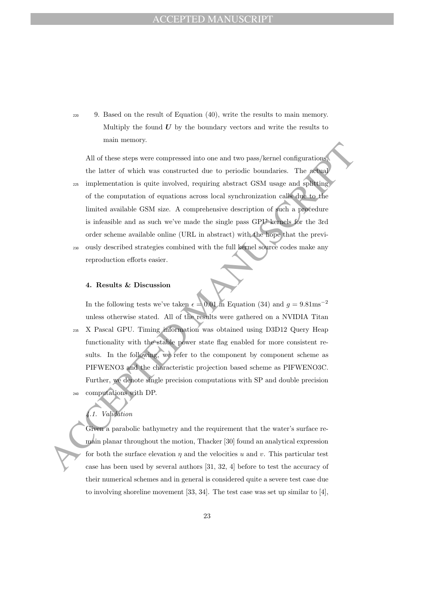<sup>220</sup> 9. Based on the result of Equation (40), write the results to main memory. Multiply the found  $U$  by the boundary vectors and write the results to main memory.

All of these steps were compressed into one and two pass/kernel configurations<br>
the latter of which was constructed due to periodic boundaries. The original<br>  $\infty$  implementation is quite involved, requiring abstract GSM All of these steps were compressed into one and two pass/kernel configurations, the latter of which was constructed due to periodic boundaries. The actual <sup>225</sup> implementation is quite involved, requiring abstract GSM usage and splitting of the computation of equations across local synchronization calls due to the limited available GSM size. A comprehensive description of such a procedure is infeasible and as such we've made the single pass GPU kernels for the 3rd order scheme available online (URL in abstract) with the hope that the previ-<sup>230</sup> ously described strategies combined with the full kernel source codes make any reproduction efforts easier.

#### 4. Results & Discussion

In the following tests we've taken  $\epsilon = 0.01$  in Equation (34) and  $q = 9.81$ ms<sup>-2</sup> unless otherwise stated. All of the results were gathered on a NVIDIA Titan <sup>235</sup> X Pascal GPU. Timing information was obtained using D3D12 Query Heap functionality with the stable power state flag enabled for more consistent results. In the following, we refer to the component by component scheme as PIFWENO3 and the characteristic projection based scheme as PIFWENO3C. Further, we denote single precision computations with SP and double precision computations with DP.

# 4.1. Validation

Given a parabolic bathymetry and the requirement that the water's surface remain planar throughout the motion, Thacker [30] found an analytical expression for both the surface elevation  $\eta$  and the velocities u and v. This particular test case has been used by several authors [31, 32, 4] before to test the accuracy of their numerical schemes and in general is considered quite a severe test case due to involving shoreline movement [33, 34]. The test case was set up similar to [4],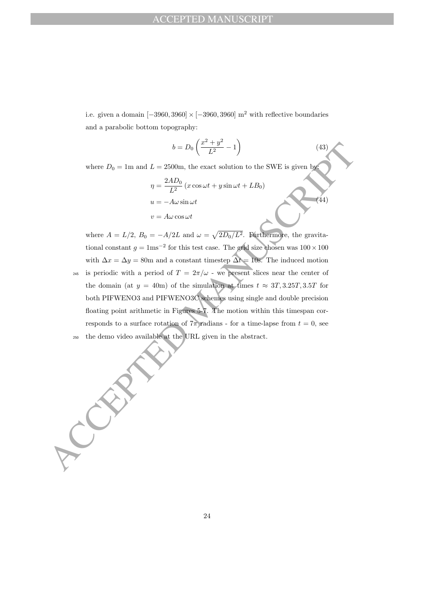i.e. given a domain  $[-3960, 3960] \times [-3960, 3960]$  m<sup>2</sup> with reflective boundaries and a parabolic bottom topography:

$$
b = D_0 \left( \frac{x^2 + y^2}{L^2} - 1 \right) \tag{43}
$$

where  $D_0 = 1$ m and  $L = 2500$ m, the exact solution to the SWE is given by:

$$
\eta = \frac{2AD_0}{L^2} (x \cos \omega t + y \sin \omega t + LB_0)
$$
  
\n
$$
u = -A\omega \sin \omega t
$$
  
\n
$$
v = A\omega \cos \omega t
$$
 (44)

 $b = D_0\left(\frac{2^n + b'}{L^2} - 1\right)$  (43)<br>where  $D_0 = 1$ m and  $L = 2500$ m, the exact solution to the SWE is given by<br> $\eta = \frac{24D_0}{L^2}$  ( $x \cos \omega t + y \sin \omega t + LB_0$ )<br> $u = -A\omega \sin \omega t$ <br> $v = A\omega \cos \omega t$ <br>where  $A = L/2$ ,  $B_0 = -A/2L$  and  $\omega = \sqrt{2D_0/L^2$ where  $A = L/2$ ,  $B_0 = -A/2L$  and  $\omega = \sqrt{2D_0/L^2}$ . Furthermore, the gravitational constant  $g = 1 \text{ms}^{-2}$  for this test case. The grid size chosen was  $100 \times 100$ with  $\Delta x = \Delta y = 80$ m and a constant timestep  $\Delta t = 10$ s. The induced motion <sup>245</sup> is periodic with a period of  $T = 2\pi/\omega$  - we present slices near the center of the domain (at  $y = 40$ m) of the simulation at times  $t \approx 3T, 3.25T, 3.5T$  for

both PIFWENO3 and PIFWENO3C schemes using single and double precision floating point arithmetic in Figures 5-7. The motion within this timespan corresponds to a surface rotation of  $7\pi$  radians - for a time-lapse from  $t = 0$ , see <sup>250</sup> the demo video available at the URL given in the abstract.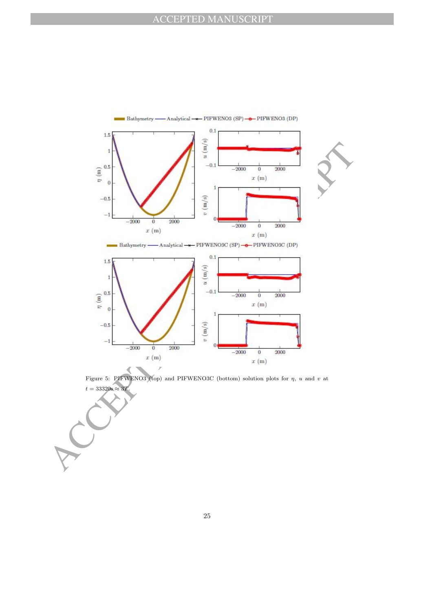

Figure 5: PIFWENO3 (top) and PIFWENO3C (bottom) solution plots for  $\eta$ , u and v at  $t = 33320$ s ≈ 3 $T$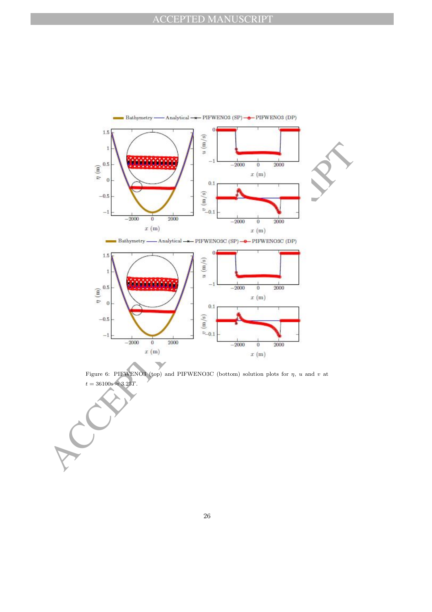





Figure 6: PIFWENO3 (top) and PIFWENO3C (bottom) solution plots for  $\eta$ , u and v at  $t = 36100$ s ≈ 3.25T.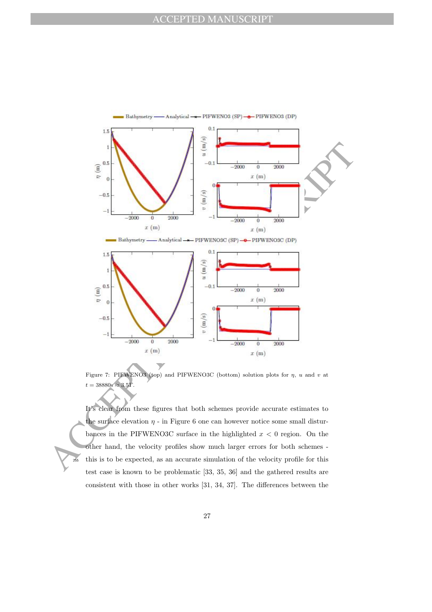

Figure 7: PIFWENO3 (top) and PIFWENO3C (bottom) solution plots for  $\eta$ , u and v at  $t = 38880$ s ≈  $3.5T$ .

It's clear from these figures that both schemes provide accurate estimates to the surface elevation  $\eta$  - in Figure 6 one can however notice some small disturbances in the PIFWENO3C surface in the highlighted  $x < 0$  region. On the other hand, the velocity profiles show much larger errors for both schemes - <sup>255</sup> this is to be expected, as an accurate simulation of the velocity profile for this test case is known to be problematic [33, 35, 36] and the gathered results are consistent with those in other works [31, 34, 37]. The differences between the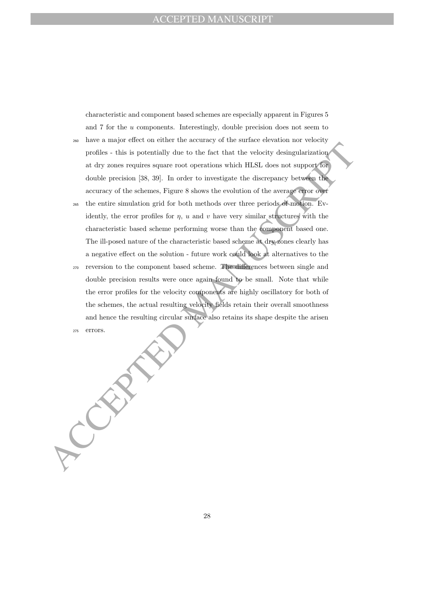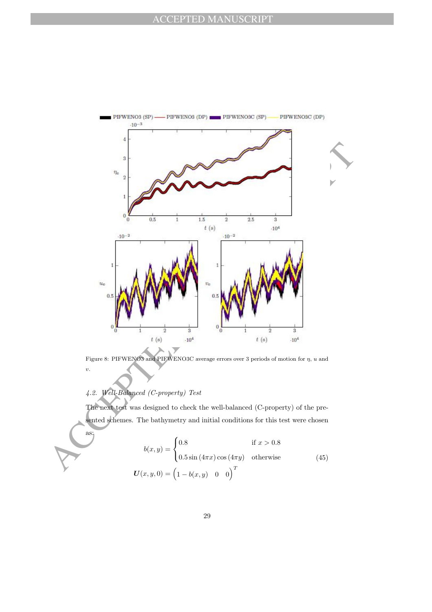

Figure 8: PIFWENO3 and PIFWENO3C average errors over 3 periods of motion for  $\eta$ ,  $u$  and v.

## 4.2. Well-Balanced (C-property) Test

as:

The next test was designed to check the well-balanced (C-property) of the presented schemes. The bathymetry and initial conditions for this test were chosen

$$
b(x,y) = \begin{cases} 0.8 & \text{if } x > 0.8\\ 0.5\sin(4\pi x)\cos(4\pi y) & \text{otherwise} \end{cases}
$$
 (45)  

$$
U(x,y,0) = \left(1 - b(x,y) \quad 0 \quad 0\right)^T
$$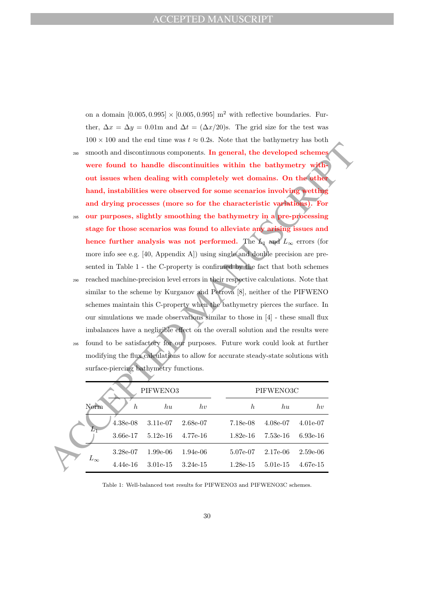on a domain  $[0.005, 0.995] \times [0.005, 0.995]$  m<sup>2</sup> with reflective boundaries. Further,  $\Delta x = \Delta y = 0.01$ m and  $\Delta t = (\Delta x/20)$ s. The grid size for the test was  $100 \times 100$  and the end time was  $t \approx 0.2$ s. Note that the bathymetry has both

- <sup>280</sup> smooth and discontinuous components. In general, the developed schemes were found to handle discontinuities within the bathymetry without issues when dealing with completely wet domains. On the other hand, instabilities were observed for some scenarios involving wetting and drying processes (more so for the characteristic variations). For
- <sup>285</sup> our purposes, slightly smoothing the bathymetry in a pre-processing stage for those scenarios was found to alleviate any arising issues and hence further analysis was not performed. The L<sub>1</sub> and  $L_{\infty}$  errors (for more info see e.g. [40, Appendix A]) using single and double precision are presented in Table 1 - the C-property is confirmed by the fact that both schemes <sup>290</sup> reached machine-precision level errors in their respective calculations. Note that
- similar to the scheme by Kurganov and Petrova [8], neither of the PIFWENO schemes maintain this C-property when the bathymetry pierces the surface. In our simulations we made observations similar to those in [4] - these small flux imbalances have a negligible effect on the overall solution and the results were <sup>295</sup> found to be satisfactory for our purposes. Future work could look at further modifying the flux calculations to allow for accurate steady-state solutions with

| 280 | smooth and discontinuous components. In general, the developed schemes             |                              |            |                  |            |            |  |  |
|-----|------------------------------------------------------------------------------------|------------------------------|------------|------------------|------------|------------|--|--|
|     | were found to handle discontinuities within the bathymetry with-                   |                              |            |                  |            |            |  |  |
|     | out issues when dealing with completely wet domains. On the other                  |                              |            |                  |            |            |  |  |
|     | hand, instabilities were observed for some scenarios involving wetting             |                              |            |                  |            |            |  |  |
|     | and drying processes (more so for the characteristic variations). For              |                              |            |                  |            |            |  |  |
| 285 | our purposes, slightly smoothing the bathymetry in a pre-processing                |                              |            |                  |            |            |  |  |
|     | stage for those scenarios was found to alleviate any arising issues and            |                              |            |                  |            |            |  |  |
|     | hence further analysis was not performed. The $L_1$ and $L_{\infty}$ errors (for   |                              |            |                  |            |            |  |  |
|     | more info see e.g. [40, Appendix A]) using single and double precision are pre-    |                              |            |                  |            |            |  |  |
|     | sented in Table 1 - the C-property is confirmed by the fact that both schemes      |                              |            |                  |            |            |  |  |
| 290 | reached machine-precision level errors in their respective calculations. Note that |                              |            |                  |            |            |  |  |
|     | similar to the scheme by Kurganov and Petrova [8], neither of the PIFWENO          |                              |            |                  |            |            |  |  |
|     | schemes maintain this C-property when the bathymetry pierces the surface. In       |                              |            |                  |            |            |  |  |
|     | our simulations we made observations similar to those in $[4]$ - these small flux  |                              |            |                  |            |            |  |  |
|     | imbalances have a negligible effect on the overall solution and the results were   |                              |            |                  |            |            |  |  |
| 295 | found to be satisfactory for our purposes. Future work could look at further       |                              |            |                  |            |            |  |  |
|     | modifying the flux calculations to allow for accurate steady-state solutions with  |                              |            |                  |            |            |  |  |
|     | surface-piercing bathymetry functions.                                             |                              |            |                  |            |            |  |  |
|     |                                                                                    |                              |            |                  |            |            |  |  |
|     |                                                                                    | PIFWENO3                     |            |                  | PIFWENO3C  |            |  |  |
|     | Norm<br>$\boldsymbol{h}$                                                           | h u                          | hv         | $\boldsymbol{h}$ | h u        | hv         |  |  |
|     | $4.38e-08$                                                                         | 3.11e-07                     | $2.68e-07$ | 7.18e-08         | 4.08e-07   | 4.01e-07   |  |  |
|     | $L_{\rm 1^-}$<br>3.66e-17                                                          | $5.12\mathrm{e}{\text{-}}16$ | 4.77e-16   | $1.82e-16$       | $7.53e-16$ | $6.93e-16$ |  |  |
|     | 3.28e-07                                                                           | 1.99e-06                     | 1.94e-06   | 5.07e-07         | 2.17e-06   | $2.59e-06$ |  |  |
|     | $L_{\infty}$<br>4.44e-16                                                           | $3.01e-15$                   | $3.24e-15$ | $1.28e-15$       | 5.01e-15   | $4.67e-15$ |  |  |
|     |                                                                                    |                              |            |                  |            |            |  |  |

Table 1: Well-balanced test results for PIFWENO3 and PIFWENO3C schemes.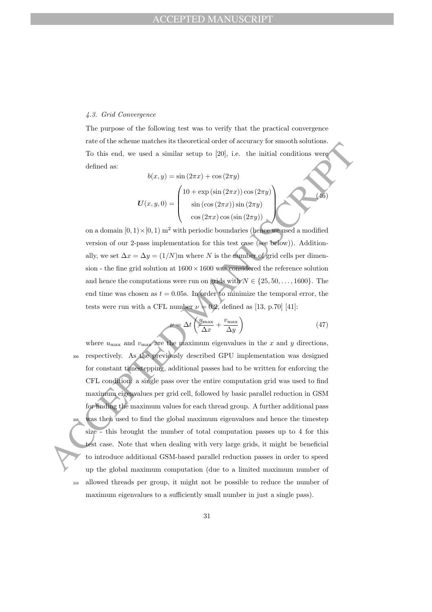#### 4.3. Grid Convergence

The purpose of the following test was to verify that the practical convergence rate of the scheme matches its theoretical order of accuracy for smooth solutions. To this end, we used a similar setup to [20], i.e. the initial conditions were defined as:

$$
b(x,y) = \sin(2\pi x) + \cos(2\pi y)
$$

$$
U(x,y,0) = \begin{pmatrix} 10 + \exp(\sin(2\pi x))\cos(2\pi y) \\ \sin(\cos(2\pi x))\sin(2\pi y) \\ \cos(2\pi x)\cos(\sin(2\pi y)) \end{pmatrix}
$$
(46)

on a domain  $[0, 1) \times [0, 1]$  m<sup>2</sup> with periodic boundaries (hence we used a modified version of our 2-pass implementation for this test case (see below)). Additionally, we set  $\Delta x = \Delta y = (1/N)$ m where N is the number of grid cells per dimension - the fine grid solution at  $1600 \times 1600$  was considered the reference solution and hence the computations were run on grids with  $N \in \{25, 50, \ldots, 1600\}$ . The end time was chosen as  $t = 0.05$ s. In order to minimize the temporal error, the tests were run with a CFL number  $\nu = 0.2$ , defined as [13, p.70] [41]:

$$
\nu = \Delta t \left( \frac{u_{\text{max}}}{\Delta x} + \frac{v_{\text{max}}}{\Delta y} \right) \tag{47}
$$

For our assumption matrix is those constants of orientation constants of the similar elastic set  $b(x, y, 0) = \begin{pmatrix} 10 & 1 & \text{csc}(15x) \\ 0 & 1 & \text{csc}(15x) \\ 0 & 0 & 1 \end{pmatrix}$  (a)  $b(x, y, 0) = \begin{pmatrix} 10 & 1 & \text{csc}(15x) \\ 0 & 1 & \text{csc}(25x) \end{$ where  $u_{\text{max}}$  and  $v_{\text{max}}$  are the maximum eigenvalues in the x and y directions, <sup>300</sup> respectively. As the previously described GPU implementation was designed for constant timestepping, additional passes had to be written for enforcing the CFL condition: a single pass over the entire computation grid was used to find maximum eigenvalues per grid cell, followed by basic parallel reduction in GSM for finding the maximum values for each thread group. A further additional pass was then used to find the global maximum eigenvalues and hence the timestep size - this brought the number of total computation passes up to 4 for this test case. Note that when dealing with very large grids, it might be beneficial to introduce additional GSM-based parallel reduction passes in order to speed up the global maximum computation (due to a limited maximum number of <sup>310</sup> allowed threads per group, it might not be possible to reduce the number of maximum eigenvalues to a sufficiently small number in just a single pass).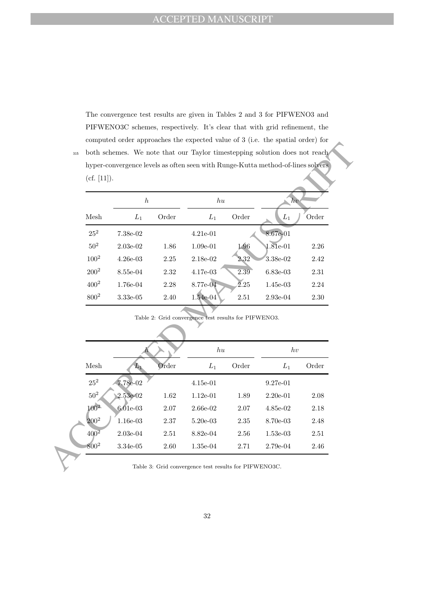The convergence test results are given in Tables 2 and 3 for PIFWENO3 and PIFWENO3C schemes, respectively. It's clear that with grid refinement, the computed order approaches the expected value of 3 (i.e. the spatial order) for <sup>315</sup> both schemes. We note that our Taylor timestepping solution does not reach hyper-convergence levels as often seen with Runge-Kutta method-of-lines solvers

(cf. [11]).

|                 | $\hbar$    |       | hu         |       | hv         |       |
|-----------------|------------|-------|------------|-------|------------|-------|
| Mesh            | $L_1$      | Order | $L_1$      | Order | $L_1$      | Order |
| $25^{2}$        | 7.38e-02   |       | $4.21e-01$ |       | 8.67e-01   |       |
| 50 <sup>2</sup> | $2.03e-02$ | 1.86  | $1.09e-01$ | 1.96  | $1.81e-01$ | 2.26  |
| $100^{2}$       | $4.26e-03$ | 2.25  | 2.18e-02   | 2.32  | 3.38e-02   | 2.42  |
| $200^2$         | 8.55e-04   | 2.32  | 4.17e-03   | 2.39  | $6.83e-03$ | 2.31  |
| $400^{2}$       | 1.76e-04   | 2.28  | $8.77e-04$ | 2.25  | 1.45e-03   | 2.24  |
| $800^{2}$       | 3.33e-05   | 2.40  | $1.54e-04$ | 2.51  | $2.93e-04$ | 2.30  |

Table 2: Grid convergence test results for PIFWENO3.

|                    | $\boldsymbol{h}$ |          | h u                                                  |          | hv         |                                              |
|--------------------|------------------|----------|------------------------------------------------------|----------|------------|----------------------------------------------|
| Mesh               | $L_1$            | Order    | $L_1$                                                | Order    | $L_1$      | Order                                        |
| $25^2$             | $7.38e-02$       |          | 4.21e-01                                             |          | 8.67e-01   |                                              |
| $50^2$             | $2.03e-02$       | 1.86     | $1.09e-01$                                           | 1.96     | 1.81e-01   | $2.26\,$                                     |
| $100^{2}$          | $4.26e-03$       | $2.25\,$ | 2.18e-02                                             | 2.32     | $3.38e-02$ | $2.42\,$                                     |
| $200^2$            | 8.55e-04         | 2.32     | 4.17e-03                                             | 2.39     | $6.83e-03$ | $2.31\,$                                     |
| $400^2$            | 1.76e-04         | $2.28\,$ | 8.77e-04                                             | 2.25     | $1.45e-03$ | $2.24\,$                                     |
| $800^2$            | $3.33e-05$       | 2.40     | 1.54e-04                                             | $2.51\,$ | $2.93e-04$ | $2.30\,$                                     |
|                    |                  |          | Table 2: Grid convergence test results for PIFWENO3. |          |            |                                              |
|                    |                  |          | h u                                                  |          | hv         |                                              |
| ${\bf Mesh}$       | $L_{\rm 1}$      | Order    | $L_1$                                                | Order    | $L_1$      | Order                                        |
| $25^2$             | 7.78e-02         |          | $4.15e-01$                                           |          | $9.27e-01$ |                                              |
| 50 <sup>2</sup>    | 2.53e-02         | 1.62     | $1.12e-01$                                           | 1.89     | $2.20e-01$ |                                              |
| $100^{2}$          | $6.01e-03$       | 2.07     | $2.66e-02$                                           | 2.07     | 4.85e-02   |                                              |
| $200^{2}$          | $1.16e-03$       | $2.37\,$ | $5.20e-03$                                           | 2.35     | 8.70e-03   |                                              |
| $40\overline{0}^2$ | 2.03e-04         | $2.51\,$ | 8.82e-04                                             | $2.56\,$ | $1.53e-03$ | $2.08\,$<br>$2.18\,$<br>$2.48\,$<br>$2.51\,$ |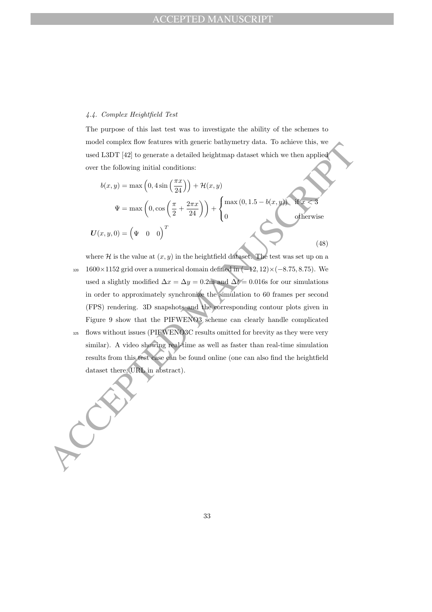### 4.4. Complex Heightfield Test

The purpose of this last test was to investigate the ability of the schemes to model complex flow features with generic bathymetry data. To achieve this, we used L3DT [42] to generate a detailed heightmap dataset which we then applied over the following initial conditions:

$$
b(x,y) = \max\left(0,4\sin\left(\frac{\pi x}{24}\right)\right) + \mathcal{H}(x,y)
$$

$$
\Psi = \max\left(0,\cos\left(\frac{\pi}{2} + \frac{2\pi x}{24}\right)\right) + \begin{cases} \max(0,1.5-b(x,y)) & \text{if } x < 3\\ 0 & \text{otherwise} \end{cases}
$$

$$
U(x,y,0) = \left(\Psi \quad 0 \quad 0\right)^T
$$
(48)

more compare now nearries with general engineering unit. To ennearce these spinses are the following initial engineering dataset which we then applied over the following initial engineering dataset which we then applied o where  $\mathcal H$  is the value at  $(x, y)$  in the heightfield dataset. The test was set up on a  $320 \quad 1600\times1152$  grid over a numerical domain defined in  $(-12, 12)\times(-8.75, 8.75)$ . We used a slightly modified  $\Delta x = \Delta y = 0.2$ m and  $\Delta t = 0.016$ s for our simulations in order to approximately synchronize the simulation to 60 frames per second (FPS) rendering. 3D snapshots and the corresponding contour plots given in Figure 9 show that the PIFWENO3 scheme can clearly handle complicated <sup>325</sup> flows without issues (PIFWENO3C results omitted for brevity as they were very

similar). A video showing real-time as well as faster than real-time simulation results from this test case can be found online (one can also find the heightfield dataset there, URL in abstract).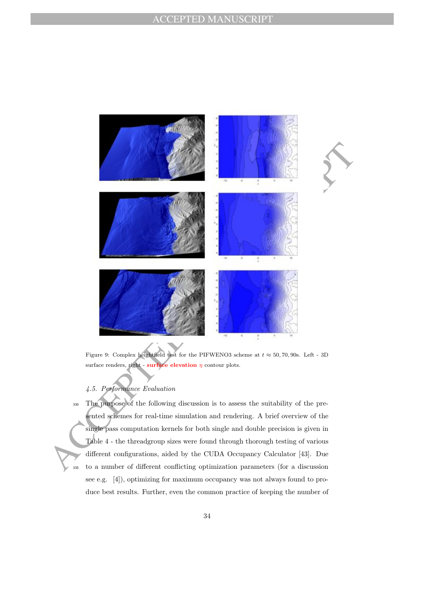

Figure 9: Complex heightfield test for the PIFWENO3 scheme at  $t \approx 50, 70, 90$ s. Left - 3D surface renders, right - surface elevation  $\eta$  contour plots.

# 4.5. Performance Evaluation

<sup>330</sup> The purpose of the following discussion is to assess the suitability of the presented schemes for real-time simulation and rendering. A brief overview of the single pass computation kernels for both single and double precision is given in Table 4 - the threadgroup sizes were found through thorough testing of various different configurations, aided by the CUDA Occupancy Calculator [43]. Due <sup>335</sup> to a number of different conflicting optimization parameters (for a discussion see e.g. [4]), optimizing for maximum occupancy was not always found to produce best results. Further, even the common practice of keeping the number of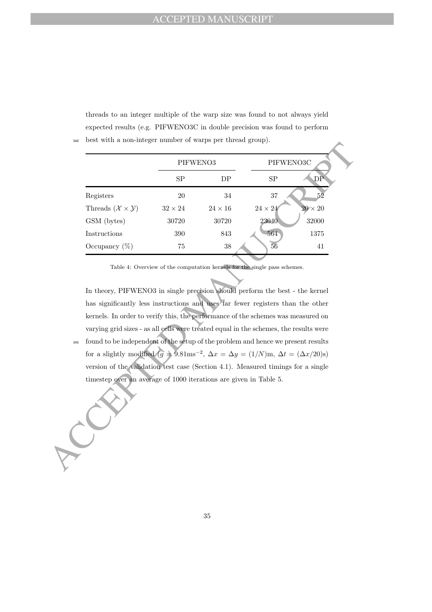threads to an integer multiple of the warp size was found to not always yield expected results (e.g. PIFWENO3C in double precision was found to perform <sup>340</sup> best with a non-integer number of warps per thread group).

|     |                                                                                                                                                                                                                                                                                                    |                | PIFWENO3     |                                                                                       | PIFWENO3C      |  |
|-----|----------------------------------------------------------------------------------------------------------------------------------------------------------------------------------------------------------------------------------------------------------------------------------------------------|----------------|--------------|---------------------------------------------------------------------------------------|----------------|--|
|     |                                                                                                                                                                                                                                                                                                    | SP             | DP           | <b>SP</b>                                                                             | DP             |  |
|     | Registers                                                                                                                                                                                                                                                                                          | 20             | 34           | 37                                                                                    | 52             |  |
|     | Threads $(\mathcal{X} \times \mathcal{Y})$                                                                                                                                                                                                                                                         | $32 \times 24$ | $24\times16$ | $24\times24$                                                                          | $20 \times 20$ |  |
|     | GSM (bytes)                                                                                                                                                                                                                                                                                        | 30720          | 30720        | 23040                                                                                 | 32000          |  |
|     | Instructions                                                                                                                                                                                                                                                                                       | 390            | 843          | 564                                                                                   | 1375           |  |
|     | Occupancy $(\%)$                                                                                                                                                                                                                                                                                   | $75\,$         | $38\,$       | 56                                                                                    | 41             |  |
|     |                                                                                                                                                                                                                                                                                                    |                |              | varying grid sizes - as all cells were treated equal in the schemes, the results were |                |  |
| 345 | found to be independent of the setup of the problem and hence we present results<br>for a slightly modified $(g = 5.81 \text{ms}^{-2}, \Delta x = \Delta y = (1/N)\text{m}, \Delta t = (\Delta x/20)\text{s})$<br>version of the validation test case (Section 4.1). Measured timings for a single |                |              |                                                                                       |                |  |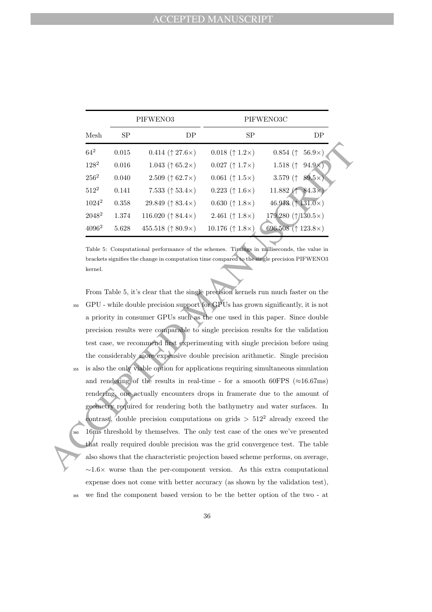|          |           | PIFWENO3                             |                         | PIFWENO3C                                                 |
|----------|-----------|--------------------------------------|-------------------------|-----------------------------------------------------------|
| Mesh     | <b>SP</b> | DP                                   | <b>SP</b>               | DP                                                        |
| $64^{2}$ | 0.015     | 0.414 $(† 27.6 \times)$              | 0.018 $(† 1.2 \times)$  | $0.854$ ( $\uparrow$<br>$56.9\times$                      |
| $128^2$  | 0.016     | 1.043 ( $\uparrow$ 65.2 $\times$ )   | $0.027$ († 1.7×)        | 1.518 $($<br>$94.9\times$                                 |
| $256^2$  | 0.040     | 2.509 ( $\uparrow$ 62.7 $\times$ )   | $0.061$ († 1.5×)        | 3.579 $($ <sup><math>\dagger</math></sup><br>$89.5\times$ |
| $512^2$  | 0.141     | 7.533 $(† 53.4 \times)$              | $0.223$ († 1.6×)        | 11.882 ( $\uparrow$ 84.3 $\times$ )                       |
| $1024^2$ | 0.358     | 29.849 ( $\uparrow$ 83.4 $\times$ )  | 0.630 $(† 1.8 \times)$  | 46.913 ( $\uparrow$ 131.0×)                               |
| $2048^2$ | 1.374     | 116.020 $(† 84.4×)$                  | 2.461 $(† 1.8 \times)$  | 179.280 $(\uparrow$ 130.5×)                               |
| $4096^2$ | 5.628     | 455.518 ( $\uparrow$ 80.9 $\times$ ) | 10.176 $(† 1.8 \times)$ | 696.508 ( $\uparrow$ 123.8 $\times$ )                     |

Table 5: Computational performance of the schemes. Timings in milliseconds, the value in brackets signifies the change in computation time compared to the single precision PIFWENO3 kernel.

64<sup>2</sup> 0.015 0.414 († 17.6×) 0.018 († 1.2×) 0.854 († 56.9×)<br>
128<sup>2</sup> 0.016 1.043 († 65.2×) 0.027 († 1.7×) 1.518 († 94.9×)<br>
256<sup>2</sup> 0.040 2.569 († 62.7×) 0.001 († 1.5×) 1.558 († 94.9×)<br>
317<sup>2</sup> 0.358 29.849 († 83.4×) 0.223 († From Table 5, it's clear that the single precision kernels run much faster on the <sup>350</sup> GPU - while double precision support for GPUs has grown significantly, it is not a priority in consumer GPUs such as the one used in this paper. Since double precision results were comparable to single precision results for the validation test case, we recommend first experimenting with single precision before using the considerably more expensive double precision arithmetic. Single precision <sup>355</sup> is also the only viable option for applications requiring simultaneous simulation and rendering of the results in real-time - for a smooth 60FPS ( $\approx$ 16.67ms) rendering, one actually encounters drops in framerate due to the amount of geometry required for rendering both the bathymetry and water surfaces. In contrast, double precision computations on grids  $> 512^2$  already exceed the 16ms threshold by themselves. The only test case of the ones we've presented that really required double precision was the grid convergence test. The table also shows that the characteristic projection based scheme performs, on average,  $\sim$ 1.6× worse than the per-component version. As this extra computational expense does not come with better accuracy (as shown by the validation test), <sup>365</sup> we find the component based version to be the better option of the two - at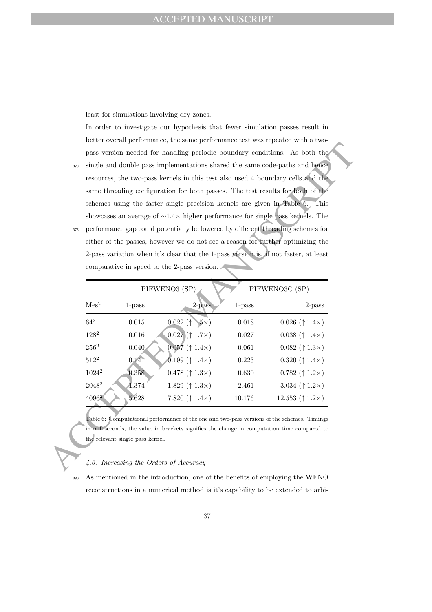least for simulations involving dry zones.

In order to investigate our hypothesis that fewer simulation passes result in better overall performance, the same performance test was repeated with a twopass version needed for handling periodic boundary conditions. As both the

- <sup>370</sup> single and double pass implementations shared the same code-paths and hence resources, the two-pass kernels in this test also used 4 boundary cells and the same threading configuration for both passes. The test results for both of the schemes using the faster single precision kernels are given in Table 6. This showcases an average of ∼1.4× higher performance for single pass kernels. The
- <sup>375</sup> performance gap could potentially be lowered by different threading schemes for either of the passes, however we do not see a reason for further optimizing the 2-pass variation when it's clear that the 1-pass version is, if not faster, at least comparative in speed to the 2-pass version.

|            | same threading configuration for both passes. The test results for both of the<br>schemes using the faster single precision kernels are given in Table 6.<br>This                                                                                               |                                                                                                                                                                                            |           |                                    |  |  |  |  |
|------------|-----------------------------------------------------------------------------------------------------------------------------------------------------------------------------------------------------------------------------------------------------------------|--------------------------------------------------------------------------------------------------------------------------------------------------------------------------------------------|-----------|------------------------------------|--|--|--|--|
| 375        | showcases an average of $\sim 1.4 \times$ higher performance for single pass kernels. The<br>performance gap could potentially be lowered by different threading schemes for<br>either of the passes, however we do not see a reason for further optimizing the |                                                                                                                                                                                            |           |                                    |  |  |  |  |
|            |                                                                                                                                                                                                                                                                 | 2-pass variation when it's clear that the 1-pass version is, if not faster, at least<br>comparative in speed to the 2-pass version.<br>PIFWENO3 (SP)                                       |           | PIFWENO3C (SP)                     |  |  |  |  |
| Mesh       | 1-pass                                                                                                                                                                                                                                                          | 2-pass                                                                                                                                                                                     | $1$ -pass | $2$ -pass                          |  |  |  |  |
| $64^2$     | 0.015                                                                                                                                                                                                                                                           | $0.022$ († 1.5×)                                                                                                                                                                           | 0.018     | $0.026$ († 1.4×)                   |  |  |  |  |
| $128^2$    | 0.016                                                                                                                                                                                                                                                           | $0.027 († 1.7\times)$                                                                                                                                                                      | 0.027     | $0.038$ († 1.4×)                   |  |  |  |  |
| $256^2$    | 0.040                                                                                                                                                                                                                                                           | $0.057$ († 1.4×)                                                                                                                                                                           | 0.061     | $0.082 ~ († 1.3 \times)$           |  |  |  |  |
| $512^2$    | 0.141                                                                                                                                                                                                                                                           | 0.199 $(† 1.4 \times)$                                                                                                                                                                     | 0.223     | 0.320 $(† 1.4 \times)$             |  |  |  |  |
| $1024^2\,$ | 0.358                                                                                                                                                                                                                                                           | 0.478 $(† 1.3 \times)$                                                                                                                                                                     | 0.630     | 0.782 $(† 1.2 \times)$             |  |  |  |  |
| $2048^2$   | 1.374                                                                                                                                                                                                                                                           | 1.829 $(† 1.3 \times)$                                                                                                                                                                     | 2.461     | 3.034 $(† 1.2 \times)$             |  |  |  |  |
| $4096^2$   | 5.628                                                                                                                                                                                                                                                           | 7.820 $(† 1.4 \times)$                                                                                                                                                                     | 10.176    | 12.553 ( $\uparrow$ 1.2 $\times$ ) |  |  |  |  |
|            | the relevant single pass kernel.                                                                                                                                                                                                                                | Table 6: Computational performance of the one and two-pass versions of the schemes. Timings<br>in milliseconds, the value in brackets signifies the change in computation time compared to |           |                                    |  |  |  |  |

#### 4.6. Increasing the Orders of Accuracy

<sup>380</sup> As mentioned in the introduction, one of the benefits of employing the WENO reconstructions in a numerical method is it's capability to be extended to arbi-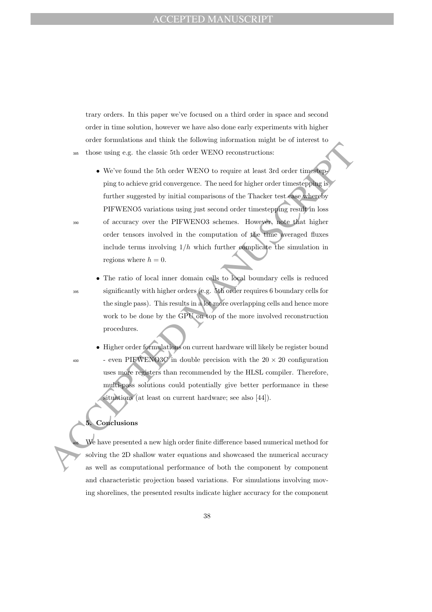trary orders. In this paper we've focused on a third order in space and second order in time solution, however we have also done early experiments with higher order formulations and think the following information might be of interest to <sup>385</sup> those using e.g. the classic 5th order WENO reconstructions:

- AT those using e.g. the classic 5th order WENO reconstructions:<br>
 We've found the 5th order WENO to require at least 3rd order timestopping to<br>
ping to achieve grid convergence. The need for higher order timestopping to<br> • We've found the 5th order WENO to require at least 3rd order timestepping to achieve grid convergence. The need for higher order timestepping is further suggested by initial comparisons of the Thacker test case whereby PIFWENO5 variations using just second order timestepping result in loss <sup>390</sup> of accuracy over the PIFWENO3 schemes. However, note that higher order tensors involved in the computation of the time averaged fluxes include terms involving  $1/h$  which further complicate the simulation in regions where  $h = 0$ .
	-

• The ratio of local inner domain cells to local boundary cells is reduced <sup>395</sup> significantly with higher orders (e.g. 5th order requires 6 boundary cells for the single pass). This results in a lot more overlapping cells and hence more work to be done by the GPU on top of the more involved reconstruction procedures.

• Higher order formulations on current hardware will likely be register bound <sup>400</sup> - even PIFWENO3C in double precision with the  $20 \times 20$  configuration uses more registers than recommended by the HLSL compiler. Therefore, multi-pass solutions could potentially give better performance in these situations (at least on current hardware; see also [44]).

## **Conclusions**

We have presented a new high order finite difference based numerical method for solving the 2D shallow water equations and showcased the numerical accuracy as well as computational performance of both the component by component and characteristic projection based variations. For simulations involving moving shorelines, the presented results indicate higher accuracy for the component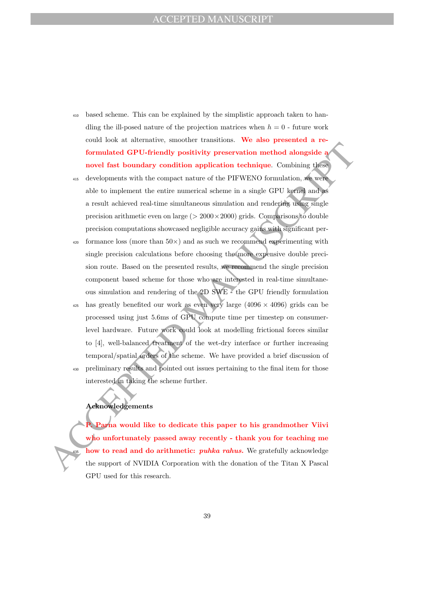- <sup>410</sup> based scheme. This can be explained by the simplistic approach taken to handling the ill-posed nature of the projection matrices when  $h = 0$  - future work could look at alternative, smoother transitions. We also presented a reformulated GPU-friendly positivity preservation method alongside a novel fast boundary condition application technique. Combining these
- <sup>415</sup> developments with the compact nature of the PIFWENO formulation, we were able to implement the entire numerical scheme in a single GPU kernel and as a result achieved real-time simultaneous simulation and rendering using single precision arithmetic even on large ( $> 2000 \times 2000$ ) grids. Comparisons to double precision computations showcased negligible accuracy gains with significant per-
- $420$  formance loss (more than  $50\times$ ) and as such we recommend experimenting with single precision calculations before choosing the more expensive double precision route. Based on the presented results, we recommend the single precision component based scheme for those who are interested in real-time simultaneous simulation and rendering of the 2D SWE - the GPU friendly formulation
- Formulated GPU-friendly positivity preservation method alongside a<br>movel fast boundary condition application technique. Combining these<br>movel fast boundary condition application technique. Combining these<br>able to implemen has greatly benefited our work as even very large  $(4096 \times 4096)$  grids can be processed using just 5.6ms of GPU compute time per timestep on consumerlevel hardware. Future work could look at modelling frictional forces similar to [4], well-balanced treatment of the wet-dry interface or further increasing temporal/spatial orders of the scheme. We have provided a brief discussion of <sup>430</sup> preliminary results and pointed out issues pertaining to the final item for those interested in taking the scheme further.

## Acknowledgements

P. Parna would like to dedicate this paper to his grandmother Viivi who unfortunately passed away recently - thank you for teaching me how to read and do arithmetic: *puhka rahus*. We gratefully acknowledge the support of NVIDIA Corporation with the donation of the Titan X Pascal GPU used for this research.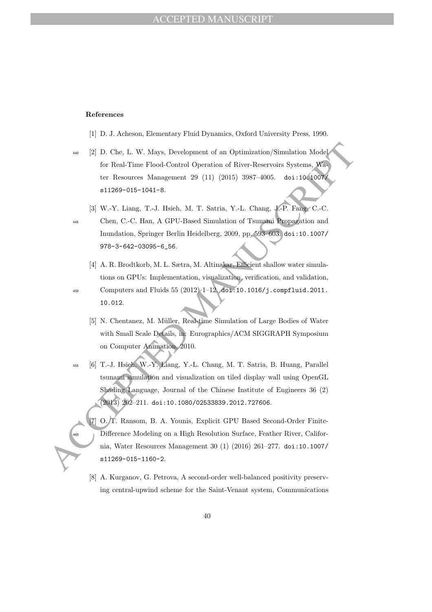#### References

- [1] D. J. Acheson, Elementary Fluid Dynamics, Oxford University Press, 1990.
- 46 [2] D. Che, L. W. Mays, Development of an Optimization/Simulation Model for Real-Time Flood-Cantrol Operation of River-Reservoirs Systems, We tree Reserves Manugement 29 (11) (2015) 3987–4005. doi :10.43000000000000000 <sup>440</sup> [2] D. Che, L. W. Mays, Development of an Optimization/Simulation Model for Real-Time Flood-Control Operation of River-Reservoirs Systems, Water Resources Management 29 (11) (2015) 3987–4005. doi:10.1007/ s11269-015-1041-8.
	- [3] W.-Y. Liang, T.-J. Hsieh, M. T. Satria, Y.-L. Chang, J.-P. Fang, C.-C.

- <sup>445</sup> Chen, C.-C. Han, A GPU-Based Simulation of Tsunami Propagation and Inundation, Springer Berlin Heidelberg, 2009, pp. 593–603. doi:10.1007/ 978-3-642-03095-6\_56.
- [4] A. R. Brodtkorb, M. L. Sætra, M. Altinakar, Efficient shallow water simulations on GPUs: Implementation, visualization, verification, and validation, <sup>450</sup> Computers and Fluids 55 (2012) 1–12. doi:10.1016/j.compfluid.2011. 10.012.
	- [5] N. Chentanez, M. Müller, Real-time Simulation of Large Bodies of Water with Small Scale Details, in: Eurographics/ACM SIGGRAPH Symposium on Computer Animation, 2010.
- <sup>455</sup> [6] T.-J. Hsieh, W.-Y. Liang, Y.-L. Chang, M. T. Satria, B. Huang, Parallel tsunami simulation and visualization on tiled display wall using OpenGL Shading Language, Journal of the Chinese Institute of Engineers 36 (2) (2013) 202–211. doi:10.1080/02533839.2012.727606.
	- [7] O. T. Ransom, B. A. Younis, Explicit GPU Based Second-Order Finite-Difference Modeling on a High Resolution Surface, Feather River, California, Water Resources Management 30 (1) (2016) 261–277. doi:10.1007/ s11269-015-1160-2.
	- [8] A. Kurganov, G. Petrova, A second-order well-balanced positivity preserving central-upwind scheme for the Saint-Venant system, Communications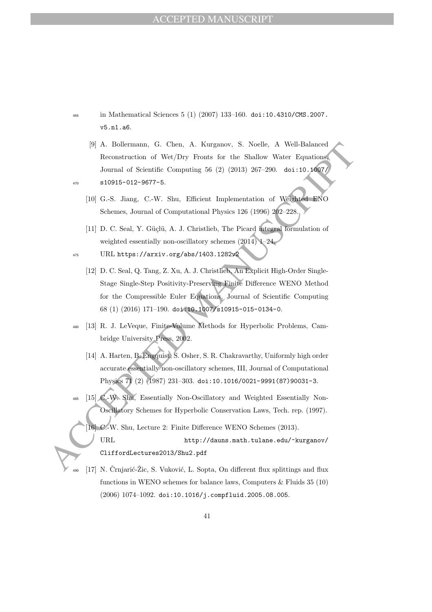- <sup>465</sup> in Mathematical Sciences 5 (1) (2007) 133–160. doi:10.4310/CMS.2007. v5.n1.a6.
- [9] A. Bollermann, G. Chen, A. Kurganov, S. Noelle, A Well-Balanced Reconstruction of Wet/Dry Fronts for the Shallow Water Equations, Journal of Scientific Computing 56 (2) (2013) 267–290. doi:10.1007/ <sup>470</sup> s10915-012-9677-5.

- [10] G.-S. Jiang, C.-W. Shu, Efficient Implementation of Weighted ENO Schemes, Journal of Computational Physics 126 (1996) 202–228.
- [11] D. C. Seal, Y. Güçlü, A. J. Christlieb, The Picard integral formulation of weighted essentially non-oscillatory schemes (2014) 1–24.
- <sup>475</sup> URL https://arxiv.org/abs/1403.1282v2
- [9] A. Bollemann, G. Chen, A. Kurganov, S. Noelle, A. Will-Balanced<br>
Reconstruction of Wet/DV Furst for the Shallow Water Equations<br>
Lound of Scientific Computing 56 (2) (2013) 207-290. doi:10.;4667<br>
LDJ G.-S. Jiang, C.-W [12] D. C. Seal, Q. Tang, Z. Xu, A. J. Christlieb, An Explicit High-Order Single-Stage Single-Step Positivity-Preserving Finite Difference WENO Method for the Compressible Euler Equations, Journal of Scientific Computing 68 (1) (2016) 171–190. doi:10.1007/s10915-015-0134-0.
	- <sup>480</sup> [13] R. J. LeVeque, Finite-Volume Methods for Hyperbolic Problems, Cambridge University Press, 2002.
		- [14] A. Harten, B. Engquist, S. Osher, S. R. Chakravarthy, Uniformly high order accurate essentially non-oscillatory schemes, III, Journal of Computational Physics 71 (2) (1987) 231–303. doi:10.1016/0021-9991(87)90031-3.
	- <sup>485</sup> [15] C.-W. Shu, Essentially Non-Oscillatory and Weighted Essentially Non-Oscillatory Schemes for Hyperbolic Conservation Laws, Tech. rep. (1997).
		- [16] C.-W. Shu, Lecture 2: Finite Difference WENO Schemes (2013). URL http://dauns.math.tulane.edu/~kurganov/ CliffordLectures2013/Shu2.pdf
	- [17] N. Črnjarić-Žic, S. Vuković, L. Sopta, On different flux splittings and flux functions in WENO schemes for balance laws, Computers  $\&$  Fluids 35 (10) (2006) 1074–1092. doi:10.1016/j.compfluid.2005.08.005.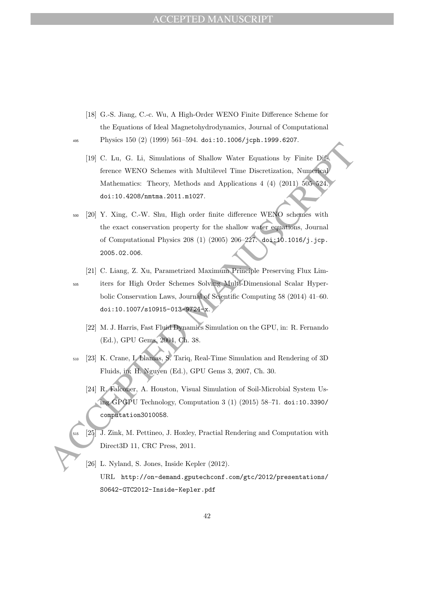- [18] G.-S. Jiang, C.-c. Wu, A High-Order WENO Finite Difference Scheme for the Equations of Ideal Magnetohydrodynamics, Journal of Computational <sup>495</sup> Physics 150 (2) (1999) 561–594. doi:10.1006/jcph.1999.6207.
	- [19] C. Lu, G. Li, Simulations of Shallow Water Equations by Finite Difference WENO Schemes with Multilevel Time Discretization, Numerical Mathematics: Theory, Methods and Applications 4 (4) (2011) 505–524. doi:10.4208/nmtma.2011.m1027.
- 19 C. Lu, G. Li, Simulations of Maleluv Water Equations by Finite Distribution for the CREAT of Equations of Maleluv Water Equations, Numerical functions (ACCEPTED Mathematics: Theory, Methods and Applications 4 (4) (2011 <sup>500</sup> [20] Y. Xing, C.-W. Shu, High order finite difference WENO schemes with the exact conservation property for the shallow water equations, Journal of Computational Physics 208 (1) (2005) 206–227. doi:10.1016/j.jcp. 2005.02.006.
	- [21] C. Liang, Z. Xu, Parametrized Maximum Principle Preserving Flux Lim-
	- <sup>505</sup> iters for High Order Schemes Solving Multi-Dimensional Scalar Hyperbolic Conservation Laws, Journal of Scientific Computing 58 (2014) 41–60. doi:10.1007/s10915-013-9724-x.
		- [22] M. J. Harris, Fast Fluid Dynamics Simulation on the GPU, in: R. Fernando (Ed.), GPU Gems, 2004, Ch. 38.
	- <sup>510</sup> [23] K. Crane, I. Llamas, S. Tariq, Real-Time Simulation and Rendering of 3D Fluids, in: H. Nguyen (Ed.), GPU Gems 3, 2007, Ch. 30.
		- [24] R. Falconer, A. Houston, Visual Simulation of Soil-Microbial System Using GPGPU Technology, Computation 3 (1) (2015) 58–71. doi:10.3390/ computation3010058.
	- <sup>515</sup> [25] J. Zink, M. Pettineo, J. Hoxley, Practial Rendering and Computation with Direct3D 11, CRC Press, 2011.
		- [26] L. Nyland, S. Jones, Inside Kepler (2012). URL http://on-demand.gputechconf.com/gtc/2012/presentations/ S0642-GTC2012-Inside-Kepler.pdf

42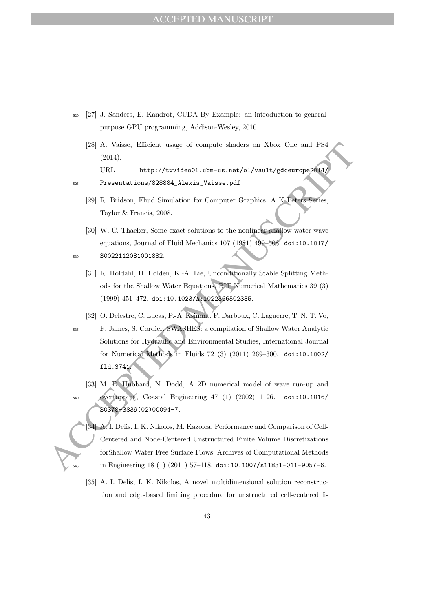- <sup>520</sup> [27] J. Sanders, E. Kandrot, CUDA By Example: an introduction to generalpurpose GPU programming, Addison-Wesley, 2010.
	- [28] A. Vaisse, Efficient usage of compute shaders on Xbox One and PS4 (2014).

URL http://twvideo01.ubm-us.net/o1/vault/gdceurope2014/

<sup>525</sup> Presentations/828884\_Alexis\_Vaisse.pdf

- [29] R. Bridson, Fluid Simulation for Computer Graphics, A K Peters Series, Taylor & Francis, 2008.
- [30] W. C. Thacker, Some exact solutions to the nonlinear shallow-water wave equations, Journal of Fluid Mechanics 107 (1981) 499–508. doi:10.1017/ <sup>530</sup> S0022112081001882.
	- [31] R. Holdahl, H. Holden, K.-A. Lie, Unconditionally Stable Splitting Methods for the Shallow Water Equations, BIT Numerical Mathematics 39 (3) (1999) 451–472. doi:10.1023/A:1022366502335.
- 28: A. Vaisse, Efficient usage of compute abades on Xbox One and PSI<br>
2014).<br>
URL http://twvideo01.ub=-us.net/o1/vault/gdcourope2014)<br>
URL http://twvideo01.ub=-us.net/o1/vault/gdcourope2014)<br>
29: R. Bridson, Fluid Simulat [32] O. Delestre, C. Lucas, P.-A. Ksinant, F. Darboux, C. Laguerre, T. N. T. Vo, <sup>535</sup> F. James, S. Cordier, SWASHES: a compilation of Shallow Water Analytic Solutions for Hydraulic and Environmental Studies, International Journal for Numerical Methods in Fluids 72 (3) (2011) 269–300. doi:10.1002/ fld.3741.
	- [33] M. E. Hubbard, N. Dodd, A 2D numerical model of wave run-up and <sup>540</sup> overtopping, Coastal Engineering 47 (1) (2002) 1–26. doi:10.1016/ S0378-3839(02)00094-7.
		- [34] A. I. Delis, I. K. Nikolos, M. Kazolea, Performance and Comparison of Cell-Centered and Node-Centered Unstructured Finite Volume Discretizations forShallow Water Free Surface Flows, Archives of Computational Methods <sup>545</sup> in Engineering 18 (1) (2011) 57–118. doi:10.1007/s11831-011-9057-6.
		- [35] A. I. Delis, I. K. Nikolos, A novel multidimensional solution reconstruction and edge-based limiting procedure for unstructured cell-centered fi-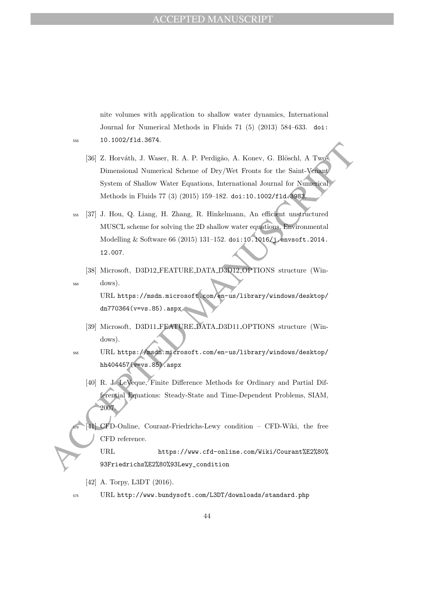nite volumes with application to shallow water dynamics, International Journal for Numerical Methods in Fluids 71 (5) (2013) 584–633. doi: <sup>550</sup> 10.1002/fld.3674.

- [36] Z. Horváth, J. Waser, R. A. P. Perdigão, A. Konev, G. Blöschl, A Two-Dimensional Numerical Scheme of Dry/Wet Fronts for the Saint-Venant System of Shallow Water Equations, International Journal for Numerical Methods in Fluids 77 (3) (2015) 159–182. doi:10.1002/fld.3983.
- 196<br/>[26] Z. Horváth, J. Waser, R. A. P. Perdigão, A. Konev, G. Blöschl, A Two<br/>implementional Numerical Scheme of Dry/We Fronts for the Saint Verture<br/>System of Shallow Water Equations, International Journal of <sup>555</sup> [37] J. Hou, Q. Liang, H. Zhang, R. Hinkelmann, An efficient unstructured MUSCL scheme for solving the 2D shallow water equations, Environmental Modelling & Software 66 (2015) 131–152. doi:10.1016/j.envsoft.2014. 12.007.
	- [38] Microsoft, D3D12 FEATURE DATA D3D12 OPTIONS structure (Win-<sup>560</sup> dows).

URL https://msdn.microsoft.com/en-us/library/windows/desktop/ dn770364(v=vs.85).aspx

- [39] Microsoft, D3D11 FEATURE DATA D3D11 OPTIONS structure (Windows).
- <sup>565</sup> URL https://msdn.microsoft.com/en-us/library/windows/desktop/ hh404457(v=vs.85).aspx
	- [40] R. J. LeVeque, Finite Difference Methods for Ordinary and Partial Differential Equations: Steady-State and Time-Dependent Problems, SIAM, 2007.
	- <sup>570</sup> [41] CFD-Online, Courant-Friedrichs-Lewy condition CFD-Wiki, the free CFD reference. URL https://www.cfd-online.com/Wiki/Courant%E2%80%
		- 93Friedrichs%E2%80%93Lewy\_condition
	- [42] A. Torpy, L3DT (2016).
- 

<sup>575</sup> URL http://www.bundysoft.com/L3DT/downloads/standard.php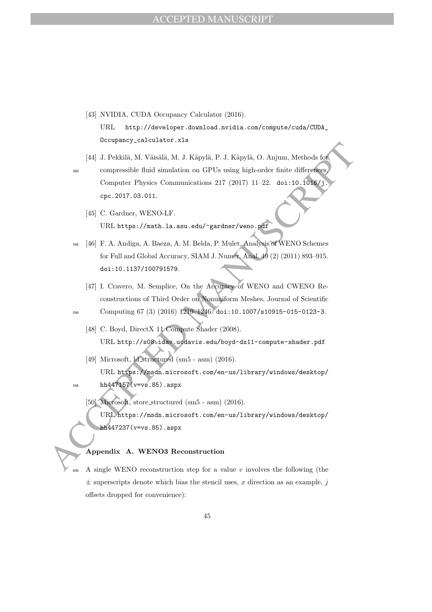- [43] NVIDIA, CUDA Occupancy Calculator (2016). URL http://developer.download.nvidia.com/compute/cuda/CUDA\_ Occupancy\_calculator.xls
- Acceleration Manuscript (and Acceleration and Philosopher Center Manuscript (and Acceleration Manuscript (and Acceleration Manuscript (and Acceleration 217 (2017) 11 22. doi:10.1698/3.<br>
Computer Physics Communications 217 [44] J. Pekkilä, M. Väisälä, M. J. Käpylä, P. J. Käpylä, O. Anjum, Methods for compressible fluid simulation on GPUs using high-order finite differences, Computer Physics Communications 217 (2017) 11–22. doi:10.1016/j. cpc.2017.03.011.
	- [45] C. Gardner, WENO-LF. URL https://math.la.asu.edu/~gardner/weno.pdf
	- <sup>585</sup> [46] F. A. Andiga, A. Baeza, A. M. Belda, P. Mulet, Analysis of WENO Schemes for Full and Global Accuracy, SIAM J. Numer. Anal. 49 (2) (2011) 893–915. doi:10.1137/100791579.
		- [47] I. Cravero, M. Semplice, On the Accuracy of WENO and CWENO Reconstructions of Third Order on Nonuniform Meshes, Journal of Scientific
	- <sup>590</sup> Computing 67 (3) (2016) 1219–1246. doi:10.1007/s10915-015-0123-3.
		- [48] C. Boyd, DirectX 11 Compute Shader (2008). URL http://s08.idav.ucdavis.edu/boyd-dx11-compute-shader.pdf
		- [49] Microsoft, ld structured (sm5 asm) (2016). URL https://msdn.microsoft.com/en-us/library/windows/desktop/
	-

<sup>595</sup> hh447157(v=vs.85).aspx

- [50] Microsoft, store structured (sm5 asm) (2016).
	- URL https://msdn.microsoft.com/en-us/library/windows/desktop/ hh447237(v=vs.85).aspx

## Appendix A. WENO3 Reconstruction

A single WENO reconstruction step for a value  $v$  involves the following (the  $\pm$  superscripts denote which bias the stencil uses, x direction as an example, j offsets dropped for convenience):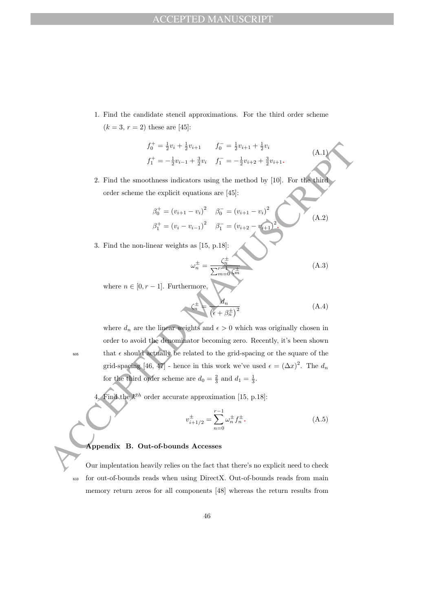1. Find the candidate stencil approximations. For the third order scheme  $(k = 3, r = 2)$  these are [45]:

$$
f_0^+ = \frac{1}{2}v_i + \frac{1}{2}v_{i+1} \qquad f_0^- = \frac{1}{2}v_{i+1} + \frac{1}{2}v_i
$$
  

$$
f_1^+ = -\frac{1}{2}v_{i-1} + \frac{3}{2}v_i \qquad f_1^- = -\frac{1}{2}v_{i+2} + \frac{3}{2}v_{i+1}.
$$

2. Find the smoothness indicators using the method by [10]. For the third order scheme the explicit equations are [45]:

$$
\beta_0^+ = (v_{i+1} - v_i)^2 \quad \beta_0^- = (v_{i+1} - v_i)^2
$$
\n
$$
\beta_1^+ = (v_i - v_{i-1})^2 \quad \beta_1^- = (v_{i+2} - v_{i+1})^2
$$
\n(A.2)

3. Find the non-linear weights as [15, p.18]:

$$
\omega_n^{\pm} = \frac{\zeta_n^{\pm}}{\sum_{m=0}^{r-1} \zeta_m^{\pm}}
$$
(A.3)

(A.1)

where  $n \in [0, r - 1]$ . Furthermore,

$$
\zeta_n^{\pm} = \frac{d_n}{\left(\epsilon + \beta_n^{\pm}\right)^2} \tag{A.4}
$$

 $f_0^+ = \frac{1}{2}v_0 + \frac{1}{2}v_0$ ,  $f_1^- = -\frac{1}{2}v_{i+1} + \frac{1}{2}v_0$ <br>  $f_1^+ = -\frac{1}{2}v_{i+1} + \frac{3}{2}v_0$ ,  $f_1^- = -\frac{1}{2}v_{i+2} + \frac{3}{2}v_{i+1}$ .<br>
2. Find the smoothness indicators using the method by [10]. For the third order sch where  $d_n$  are the linear weights and  $\epsilon > 0$  which was originally chosen in order to avoid the denominator becoming zero. Recently, it's been shown  $\epsilon$  that  $\epsilon$  should actually be related to the grid-spacing or the square of the grid-spacing [46, 47] - hence in this work we've used  $\epsilon = (\Delta x)^2$ . The  $d_n$ for the third order scheme are  $d_0 = \frac{2}{3}$  and  $d_1 = \frac{1}{3}$ .

4. Find the  $k^{th}$  order accurate approximation [15, p.18]:

v

$$
v_{i+1/2}^{\pm} = \sum_{n=0}^{r-1} \omega_n^{\pm} f_n^{\pm}.
$$
 (A.5)

### Appendix B. Out-of-bounds Accesses

Our implentation heavily relies on the fact that there's no explicit need to check <sup>610</sup> for out-of-bounds reads when using DirectX. Out-of-bounds reads from main memory return zeros for all components [48] whereas the return results from